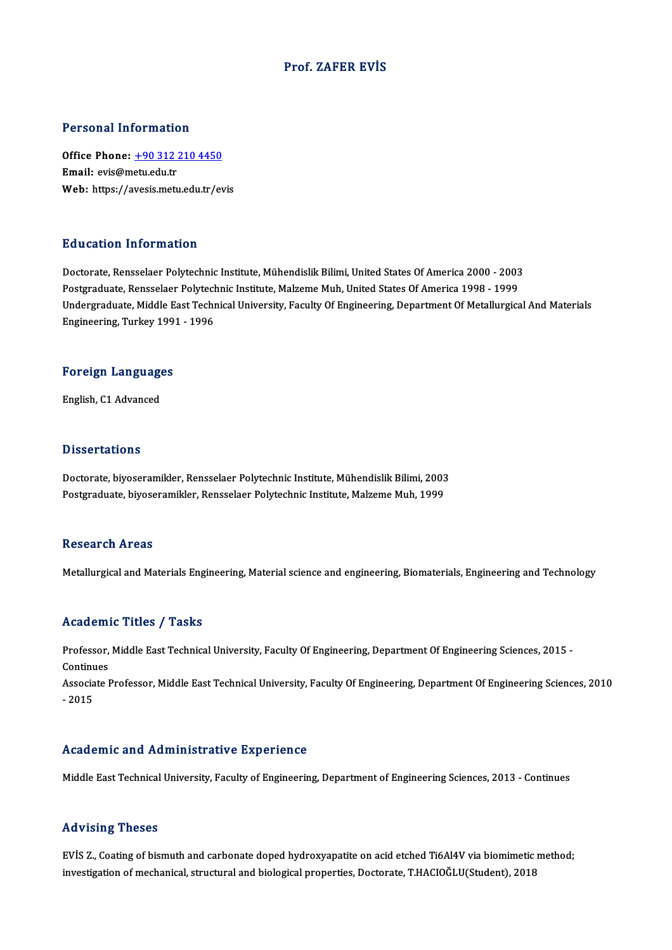#### Prof. ZAFER EVİS

#### Personal Information

Personal Information<br>Office Phone: <u>+90 312 210 4450</u><br>Email: evis@mety edu.tr office Phone: <u>+90 312</u><br>Email: evis@metu.edu.tr<br>Web: https://avesis.metu Email: evis@metu.edu.tr<br>Web: https://a[vesis.metu.edu.tr/ev](tel:+90 312 210 4450)is

#### Education Information

Doctorate, Rensselaer Polytechnic Institute, Mühendislik Bilimi, United States Of America 2000 - 2003 Pu u cucron Timor inucron<br>Doctorate, Rensselaer Polytechnic Institute, Mühendislik Bilimi, United States Of America 2000 - 2003<br>Postgraduate, Nensselaer Polytechnic Institute, Malzeme Muh, United States Of America 1998 - 1 Undergraduate, Middle East Technical University, Faculty Of Engineering, Department Of Metallurgical And Materials<br>Engineering, Turkey 1991 - 1996 Postgraduate, Rensselaer Polytech<br>Undergraduate, Middle East Techr<br>Engineering, Turkey 1991 - 1996

# <sub>Engmeering, Turkey 199</sub><br>Foreign Languages F<mark>oreign Languag</mark>e<br>English, C1 Advanced

English, C1 Advanced<br>Dissertations

Doctorate, biyoseramikler, Rensselaer Polytechnic Institute, Mühendislik Bilimi, 2003 Postgraduate, biyoseramikler, Rensselaer Polytechnic Institute, Malzeme Muh, 1999

#### **Research Areas**

Metallurgical and Materials Engineering, Material science and engineering, Biomaterials, Engineering and Technology

#### Academic Titles / Tasks

Academic Titles / Tasks<br>Professor, Middle East Technical University, Faculty Of Engineering, Department Of Engineering Sciences, 2015 -<br>Centinues Professor,<br>Continues<br>Associate L Professor, Middle East Technical University, Faculty Of Engineering, Department Of Engineering Sciences, 2015<br>Continues<br>Associate Professor, Middle East Technical University, Faculty Of Engineering, Department Of Engineeri

Continu<br>Associa<br>- 2015

# Academic and Administrative Experience

Middle East Technical University, Faculty of Engineering, Department of Engineering Sciences, 2013 - Continues

#### Advising Theses

Advising Theses<br>EVİS Z., Coating of bismuth and carbonate doped hydroxyapatite on acid etched Ti6Al4V via biomimetic method;<br>investigation of mechanical structural and biological proporties. Dectants, THACIOČI U(Student), ind vienig inteses<br>EVIS Z., Coating of bismuth and carbonate doped hydroxyapatite on acid etched Ti6Al4V via biomimetic<br>investigation of mechanical, structural and biological properties, Doctorate, T.HACIOĞLU(Student), 201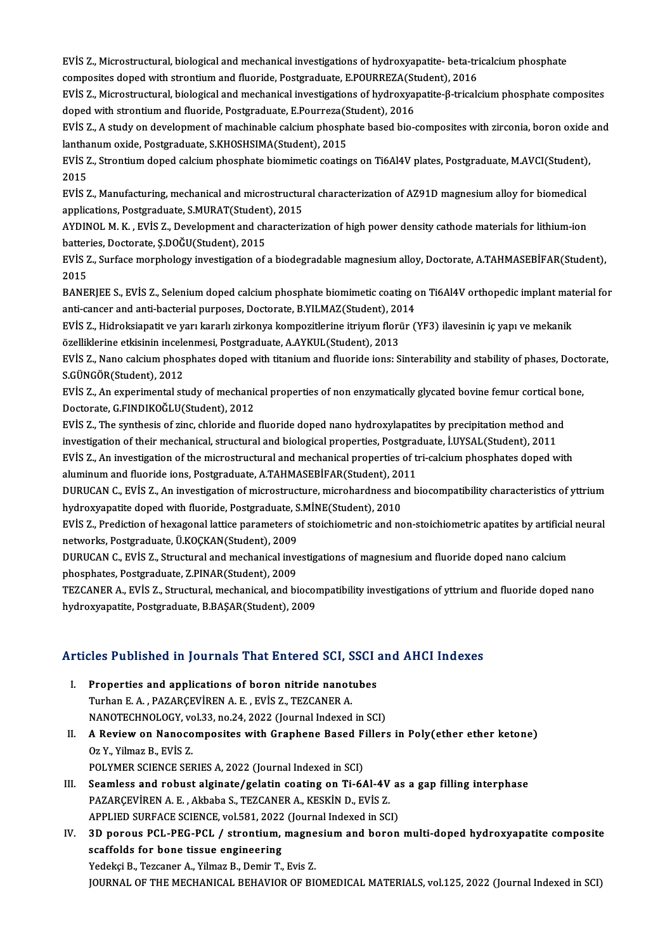EVİS Z., Microstructural, biological and mechanical investigations of hydroxyapatite- beta-tricalcium phosphate<br>composites doped with streptium and fluoride. Pestaneduste, E POUPPEZA(Student), 2016 EVİS Z., Microstructural, biological and mechanical investigations of hydroxyapatite- beta-tri<br>composites doped with strontium and fluoride, Postgraduate, E.POURREZA(Student), 2016<br>Filis 7, Microstructural, biological and EVİS Z., Microstructural, biological and mechanical investigations of hydroxyapatite- beta-tricalcium phosphate<br>composites doped with strontium and fluoride, Postgraduate, E.POURREZA(Student), 2016<br>EVİS Z., Microstructura

composites doped with strontium and fluoride, Postgraduate, E.POURREZA(St<br>EVIS Z., Microstructural, biological and mechanical investigations of hydroxya<br>doped with strontium and fluoride, Postgraduate, E.Pourreza(Student), EVİS Z., Microstructural, biological and mechanical investigations of hydroxyapatite-β-tricalcium phosphate composites<br>doped with strontium and fluoride, Postgraduate, E.Pourreza(Student), 2016<br>EVİS Z., A study on develop

doped with strontium and fluoride, Postgraduate, E.Pourreza(S<br>EVIS Z., A study on development of machinable calcium phosph<br>lanthanum oxide, Postgraduate, S.KHOSHSIMA(Student), 2015<br>EVIS Z. Strontium doped calcium phosphate EVİS Z., A study on development of machinable calcium phosphate based bio-composites with zirconia, boron oxide<br>lanthanum oxide, Postgraduate, S.KHOSHSIMA(Student), 2015<br>EVİS Z., Strontium doped calcium phosphate biomimeti

lantha<br>EVIS 2<br>2015<br>EVIS 2 EVİS Z., Strontium doped calcium phosphate biomimetic coatings on Ti6Al4V plates, Postgraduate, M.AVCI(Student)<br>2015<br>EVİS Z., Manufacturing, mechanical and microstructural characterization of AZ91D magnesium alloy for biom

2015<br>EVİS Z., Manufacturing, mechanical and microstructur<br>applications, Postgraduate, S.MURAT(Student), 2015<br>AYDINOL M. K., EVİS Z., Develenment and sharasteriy EVİS Z., Manufacturing, mechanical and microstructural characterization of AZ91D magnesium alloy for biomedical<br>applications, Postgraduate, S.MURAT(Student), 2015<br>AYDINOL M. K. , EVİS Z., Development and characterization o

applications, Postgraduate, S.MURAT(Student<br>AYDINOL M. K. , EVİS Z., Development and chi<br>batteries, Doctorate, Ş.DOĞU(Student), 2015<br>Filis Z. Surface marphology investigation of AYDINOL M. K. , EVİS Z., Development and characterization of high power density cathode materials for lithium-ion<br>batteries, Doctorate, Ş.DOĞU(Student), 2015<br>EVİS Z., Surface morphology investigation of a biodegradable mag

**batter<br>EVIS 2<br>2015** BVİS Z., Surface morphology investigation of a biodegradable magnesium alloy, Doctorate, A.TAHMASEBİFAR(Student),<br>2015<br>BANERJEE S., EVİS Z., Selenium doped calcium phosphate biomimetic coating on Ti6Al4V orthopedic implant

2015<br>BANERJEE S., EVİS Z., Selenium doped calcium phosphate biomimetic coating c<br>anti-cancer and anti-bacterial purposes, Doctorate, B.YILMAZ(Student), 2014<br>EVİS Z., Hidroksianatit ve yarı kanarlı sirkanya kompositlerine i BANERJEE S., EVİS Z., Selenium doped calcium phosphate biomimetic coating on Ti6Al4V orthopedic implant mat<br>anti-cancer and anti-bacterial purposes, Doctorate, B.YILMAZ(Student), 2014<br>EVİS Z., Hidroksiapatit ve yarı kararl

anti-cancer and anti-bacterial purposes, Doctorate, B.YILMAZ(Student), 2014<br>EVİS Z., Hidroksiapatit ve yarı kararlı zirkonya kompozitlerine itriyum florür (YF3) ilavesinin iç yapı ve mekanik<br>özelliklerine etkisinin incelen EVİS Z., Hidroksiapatit ve yarı kararlı zirkonya kompozitlerine itriyum florür (YF3) ilavesinin iç yapı ve mekanik<br>özelliklerine etkisinin incelenmesi, Postgraduate, A.AYKUL(Student), 2013<br>EVİS Z., Nano calcium phosphates

S.GÜNGÖR(Student),2012 EVİS Z., Nano calcium phosphates doped with titanium and fluoride ions: Sinterability and stability of phases, Docto<br>S.GÜNGÖR(Student), 2012<br>EVİS Z., An experimental study of mechanical properties of non enzymatically glyc

EVIS Z., An experimental study of mechanical properties of non enzymatically glycated bovine femur cortical bone,<br>Doctorate, G.FINDIKOĞLU(Student), 2012 EVİS Z., An experimental study of mechanical properties of non enzymatically glycated bovine femur cortical bo<br>Doctorate, G.FINDIKOĞLU(Student), 2012<br>EVİS Z., The synthesis of zinc, chloride and fluoride doped nano hydroxy

Doctorate, G.FINDIKOĞLU(Student), 2012<br>EVİS Z., The synthesis of zinc, chloride and fluoride doped nano hydroxylapatites by precipitation method ano<br>investigation of their mechanical, structural and biological properties, EVİS Z., The synthesis of zinc, chloride and fluoride doped nano hydroxylapatites by precipitation method and<br>investigation of their mechanical, structural and biological properties, Postgraduate, İ.UYSAL(Student), 2011<br>EV investigation of their mechanical, structural and biological properties, Postgraduate, İ.UYSAL(Student), 2011<br>EVİS Z., An investigation of the microstructural and mechanical properties of tri-calcium phosphates doped with

aluminum and fluoride ions, Postgraduate, A.TAHMASEBİFAR(Student), 2011

DURUCAN C., EVİS Z., An investigation of microstructure, microhardness and biocompatibility characteristics of yttrium<br>hydroxyapatite doped with fluoride, Postgraduate, S.MİNE(Student), 2010 DURUCAN C., EVİS Z., An investigation of microstructure, microhardness and biocompatibility characteristics of yttrium<br>hydroxyapatite doped with fluoride, Postgraduate, S.MİNE(Student), 2010<br>EVİS Z., Prediction of hexagona

hydroxyapatite doped with fluoride, Postgraduate, S<br>EVİS Z., Prediction of hexagonal lattice parameters o<br>networks, Postgraduate, Ü.KOÇKAN(Student), 2009<br>DUBUCAN C. EVİS Z. Strugtural and meshanisel inve EVİS Z., Prediction of hexagonal lattice parameters of stoichiometric and non-stoichiometric apatites by artificial<br>networks, Postgraduate, Ü.KOÇKAN(Student), 2009<br>DURUCAN C., EVİS Z., Structural and mechanical investigati

networks, Postgraduate, Ü.KOÇKAN(Student), 2009<br>DURUCAN C., EVİS Z., Structural and mechanical investigations of magnesium and fluoride doped nano calcium<br>phosphates, Postgraduate, Z.PINAR(Student), 2009 DURUCAN C., EVİS Z., Structural and mechanical investigations of magnesium and fluoride doped nano calcium<br>phosphates, Postgraduate, Z.PINAR(Student), 2009<br>TEZCANER A., EVİS Z., Structural, mechanical, and biocompatibility

phosphates, Postgraduate, Z.PINAR(Student), 2009<br>TEZCANER A., EVİS Z., Structural, mechanical, and biocor<br>hydroxyapatite, Postgraduate, B.BAŞAR(Student), 2009

# nydroxyapaute, Postgraduate, B.BAŞAR(Student), 2009<br>Articles Published in Journals That Entered SCI, SSCI and AHCI Indexes

- rticles Published in Journals That Entered SCI, SSCI<br>I. Properties and applications of boron nitride nanotubes<br>Turban E.A., BAZARCEVIREN A.E., EVIS Z., TEZCANER A The State of a Binding and applications of boron nitride nanot<br>Turhan E. A., PAZARÇEVİREN A. E., EVİS Z., TEZCANER A.<br>MANOTECHNOLOCY vel 33. no.24. 2022 (Journal Indexed Properties and applications of boron nitride nanotubes<br>Turhan E. A. , PAZARÇEVİREN A. E. , EVİS Z., TEZCANER A.<br>NANOTECHNOLOGY, vol.33, no.24, 2022 (Journal Indexed in SCI)<br>A Boview on Nanosemnesites with Granhane Based Ei
- Turhan E. A., PAZARÇEVİREN A. E., EVİS Z., TEZCANER A.<br>NANOTECHNOLOGY, vol.33, no.24, 2022 (Journal Indexed in SCI)<br>II. A Review on Nanocomposites with Graphene Based Fillers in Poly(ether ether ketone)<br>Or Y. Vilmer B. Evi NANOTECHNOLOGY, vc<br>A Review on Nanoco<br>Oz Y., Yilmaz B., EVİS Z.<br>POLYMER SCIENCE SEL A Review on Nanocomposites with Graphene Based F<br>Oz Y., Yilmaz B., EVİS Z.<br>POLYMER SCIENCE SERIES A, 2022 (Journal Indexed in SCI)<br>Seamless and rebust alsinate (selatin seating on Ti 6) Oz Y., Yilmaz B., EVİS Z.<br>POLYMER SCIENCE SERIES A, 2022 (Journal Indexed in SCI)<br>III. Seamless and robust alginate/gelatin coating on Ti-6Al-4V as a gap filling interphase<br>RAZARCEVIREN A.E., Albaba S. TEZCANER A. KESKİN D
- POLYMER SCIENCE SERIES A, 2022 (Journal Indexed in SCI)<br>Seamless and robust alginate/gelatin coating on Ti-6Al-4V<br>PAZARÇEVİREN A. E. , Akbaba S., TEZCANER A., KESKİN D., EVİS Z.<br>APRLIED SURFACE SCIENCE xol 521-2022 (Journa Seamless and robust alginate/gelatin coating on Ti-6Al-4V a<br>PAZARÇEVİREN A. E. , Akbaba S., TEZCANER A., KESKİN D., EVİS Z.<br>APPLIED SURFACE SCIENCE, vol.581, 2022 (Journal Indexed in SCI)<br>2D noveus PCL, PEC PCL / strentium PAZARÇEVİREN A. E. , Akbaba S., TEZCANER A., KESKİN D., EVİS Z.<br>APPLIED SURFACE SCIENCE, vol.581, 2022 (Journal Indexed in SCI)<br>IV. 3D porous PCL-PEG-PCL / strontium, magnesium and boron multi-doped hydroxyapatite composit
- APPLIED SURFACE SCIENCE, vol.581, 2022<br>3D porous PCL-PEG-PCL / strontium,<br>scaffolds for bone tissue engineering<br>Vedelvi B. Tegganen A. Vilmag B. Demin T. 3D porous PCL-PEG-PCL / strontium, magne<br>scaffolds for bone tissue engineering<br>Yedekçi B., Tezcaner A., Yilmaz B., Demir T., Evis Z.<br>JOUPNAL OF THE MECHANICAL PEHAVIOP OF PIA scaffolds for bone tissue engineering<br>Yedekçi B., Tezcaner A., Yilmaz B., Demir T., Evis Z.<br>JOURNAL OF THE MECHANICAL BEHAVIOR OF BIOMEDICAL MATERIALS, vol.125, 2022 (Journal Indexed in SCI)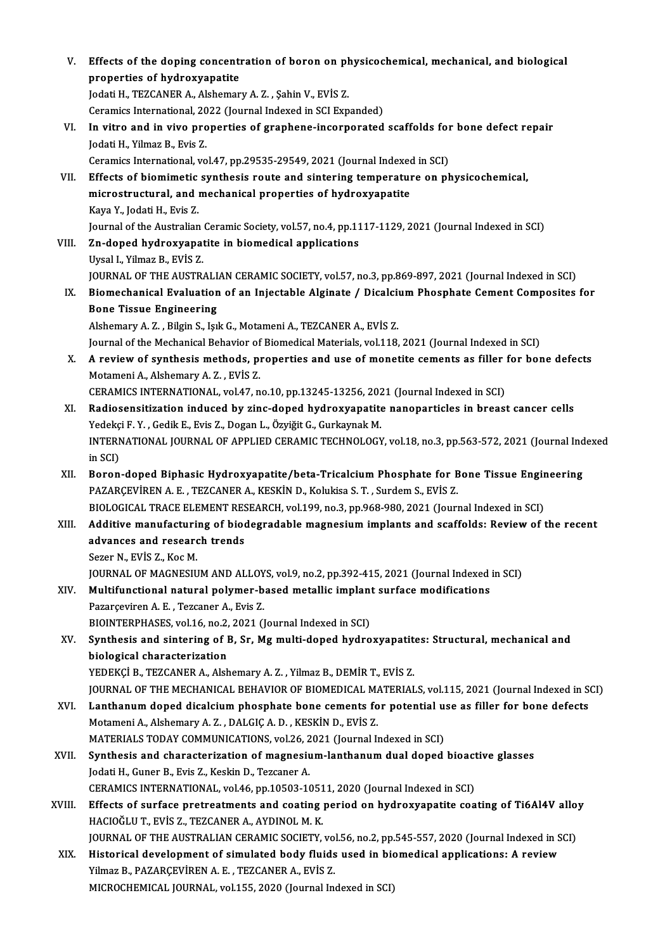|        | Effects of the doping concentration of boron on physicochemical, mechanical, and biological                          |
|--------|----------------------------------------------------------------------------------------------------------------------|
| V.     | properties of hydroxyapatite                                                                                         |
|        | Jodati H., TEZCANER A., Alshemary A. Z., Şahin V., EVİS Z.                                                           |
|        | Ceramics International, 2022 (Journal Indexed in SCI Expanded)                                                       |
| VI.    | In vitro and in vivo properties of graphene-incorporated scaffolds for bone defect repair                            |
|        | Jodati H., Yilmaz B., Evis Z.                                                                                        |
|        | Ceramics International, vol.47, pp.29535-29549, 2021 (Journal Indexed in SCI)                                        |
| VII.   | Effects of biomimetic synthesis route and sintering temperature on physicochemical,                                  |
|        | microstructural, and mechanical properties of hydroxyapatite                                                         |
|        | Kaya Y., Jodati H., Evis Z.                                                                                          |
|        | Journal of the Australian Ceramic Society, vol.57, no.4, pp.1117-1129, 2021 (Journal Indexed in SCI)                 |
| VIII.  | Zn-doped hydroxyapatite in biomedical applications                                                                   |
|        | Uysal I., Yilmaz B., EVİS Z.                                                                                         |
|        | JOURNAL OF THE AUSTRALIAN CERAMIC SOCIETY, vol.57, no.3, pp.869-897, 2021 (Journal Indexed in SCI)                   |
| IX.    | Biomechanical Evaluation of an Injectable Alginate / Dicalcium Phosphate Cement Composites for                       |
|        | <b>Bone Tissue Engineering</b>                                                                                       |
|        | Alshemary A.Z., Bilgin S., Işık G., Motameni A., TEZCANER A., EVİS Z.                                                |
|        | Journal of the Mechanical Behavior of Biomedical Materials, vol.118, 2021 (Journal Indexed in SCI)                   |
| Х.     | A review of synthesis methods, properties and use of monetite cements as filler for bone defects                     |
|        | Motameni A., Alshemary A.Z., EVIS Z.                                                                                 |
|        | CERAMICS INTERNATIONAL, vol.47, no.10, pp.13245-13256, 2021 (Journal Indexed in SCI)                                 |
| XI.    | Radiosensitization induced by zinc-doped hydroxyapatite nanoparticles in breast cancer cells                         |
|        | Yedekçi F.Y., Gedik E., Evis Z., Dogan L., Özyiğit G., Gurkaynak M.                                                  |
|        | INTERNATIONAL JOURNAL OF APPLIED CERAMIC TECHNOLOGY, vol.18, no.3, pp.563-572, 2021 (Journal Indexed                 |
|        | in SCI)                                                                                                              |
| XII.   | Boron-doped Biphasic Hydroxyapatite/beta-Tricalcium Phosphate for Bone Tissue Engineering                            |
|        | PAZARÇEVİREN A. E., TEZCANER A., KESKİN D., Kolukisa S. T., Surdem S., EVİS Z.                                       |
|        | BIOLOGICAL TRACE ELEMENT RESEARCH, vol.199, no.3, pp.968-980, 2021 (Journal Indexed in SCI)                          |
| XIII.  | Additive manufacturing of biodegradable magnesium implants and scaffolds: Review of the recent                       |
|        | advances and research trends                                                                                         |
|        | Sezer N., EVIS Z., Koc M.                                                                                            |
|        | JOURNAL OF MAGNESIUM AND ALLOYS, vol.9, no.2, pp.392-415, 2021 (Journal Indexed in SCI)                              |
| XIV.   | Multifunctional natural polymer-based metallic implant surface modifications                                         |
|        | Pazarçeviren A.E., Tezcaner A., Evis Z.                                                                              |
|        | BIOINTERPHASES, vol.16, no.2, 2021 (Journal Indexed in SCI)                                                          |
| XV.    | Synthesis and sintering of B, Sr, Mg multi-doped hydroxyapatites: Structural, mechanical and                         |
|        | biological characterization                                                                                          |
|        | YEDEKÇİ B., TEZCANER A., Alshemary A.Z., Yilmaz B., DEMİR T., EVİS Z.                                                |
|        | JOURNAL OF THE MECHANICAL BEHAVIOR OF BIOMEDICAL MATERIALS, vol.115, 2021 (Journal Indexed in SCI)                   |
| XVI.   | Lanthanum doped dicalcium phosphate bone cements for potential use as filler for bone defects                        |
|        | Motameni A., Alshemary A. Z., DALGIC A. D., KESKİN D., EVİS Z.                                                       |
|        | MATERIALS TODAY COMMUNICATIONS, vol.26, 2021 (Journal Indexed in SCI)                                                |
| XVII.  | Synthesis and characterization of magnesium-lanthanum dual doped bioactive glasses                                   |
|        | Jodati H., Guner B., Evis Z., Keskin D., Tezcaner A.                                                                 |
|        | CERAMICS INTERNATIONAL, vol.46, pp.10503-10511, 2020 (Journal Indexed in SCI)                                        |
| XVIII. | Effects of surface pretreatments and coating period on hydroxyapatite coating of Ti6Al4V alloy                       |
|        | HACIOĞLU T., EVİS Z., TEZCANER A., AYDINOL M. K.                                                                     |
|        | JOURNAL OF THE AUSTRALIAN CERAMIC SOCIETY, vol.56, no.2, pp.545-557, 2020 (Journal Indexed in SCI)                   |
| XIX.   | Historical development of simulated body fluids used in biomedical applications: A review                            |
|        | Yilmaz B., PAZARÇEVİREN A. E., TEZCANER A., EVİS Z.<br>MICROCHEMICAL JOURNAL, vol.155, 2020 (Journal Indexed in SCI) |
|        |                                                                                                                      |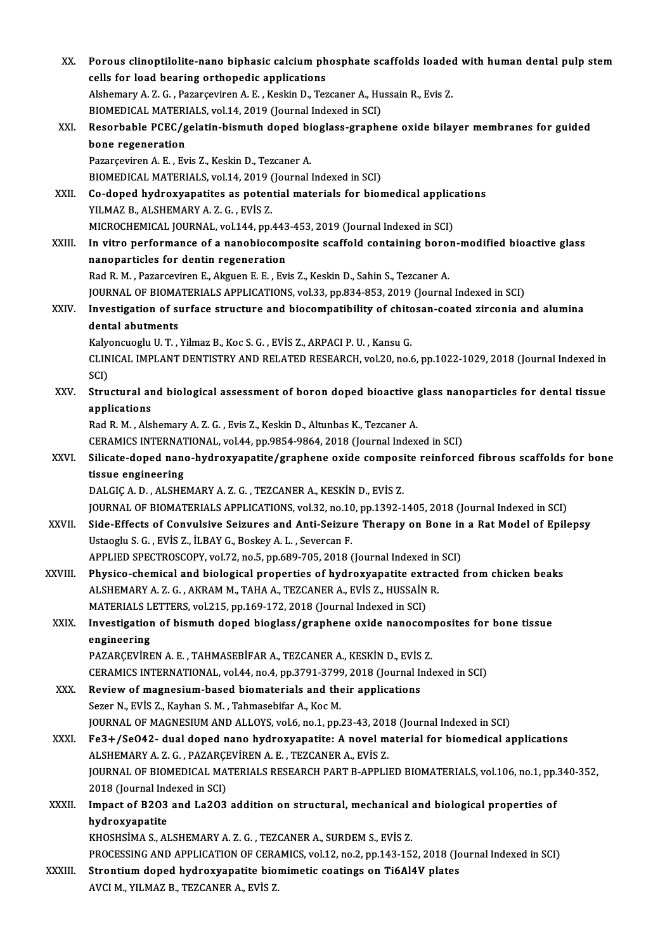| XX.          | Porous clinoptilolite-nano biphasic calcium phosphate scaffolds loaded with human dental pulp stem            |
|--------------|---------------------------------------------------------------------------------------------------------------|
|              | cells for load bearing orthopedic applications                                                                |
|              | Alshemary A.Z. G., Pazarçeviren A.E., Keskin D., Tezcaner A., Hussain R., Evis Z.                             |
|              | BIOMEDICAL MATERIALS, vol.14, 2019 (Journal Indexed in SCI)                                                   |
| XXI.         | Resorbable PCEC/gelatin-bismuth doped bioglass-graphene oxide bilayer membranes for guided                    |
|              | bone regeneration                                                                                             |
|              | Pazarçeviren A. E., Evis Z., Keskin D., Tezcaner A.                                                           |
|              | BIOMEDICAL MATERIALS, vol.14, 2019 (Journal Indexed in SCI)                                                   |
| XXII.        | Co-doped hydroxyapatites as potential materials for biomedical applications                                   |
|              | YILMAZ B., ALSHEMARY A. Z. G., EVIS Z.                                                                        |
|              | MICROCHEMICAL JOURNAL, vol.144, pp.443-453, 2019 (Journal Indexed in SCI)                                     |
| XXIII.       | In vitro performance of a nanobiocomposite scaffold containing boron-modified bioactive glass                 |
|              | nanoparticles for dentin regeneration                                                                         |
|              | Rad R. M., Pazarceviren E., Akguen E. E., Evis Z., Keskin D., Sahin S., Tezcaner A.                           |
|              | JOURNAL OF BIOMATERIALS APPLICATIONS, vol.33, pp.834-853, 2019 (Journal Indexed in SCI)                       |
| XXIV.        | Investigation of surface structure and biocompatibility of chitosan-coated zirconia and alumina               |
|              | dental abutments                                                                                              |
|              | Kalyoncuoglu U. T., Yilmaz B., Koc S. G., EVİS Z., ARPACI P. U., Kansu G.                                     |
|              | CLINICAL IMPLANT DENTISTRY AND RELATED RESEARCH, vol.20, no.6, pp.1022-1029, 2018 (Journal Indexed in<br>SCI) |
| XXV.         | Structural and biological assessment of boron doped bioactive glass nanoparticles for dental tissue           |
|              | applications                                                                                                  |
|              | Rad R. M., Alshemary A. Z. G., Evis Z., Keskin D., Altunbas K., Tezcaner A.                                   |
|              | CERAMICS INTERNATIONAL, vol.44, pp.9854-9864, 2018 (Journal Indexed in SCI)                                   |
| XXVI.        | Silicate-doped nano-hydroxyapatite/graphene oxide composite reinforced fibrous scaffolds for bone             |
|              | tissue engineering                                                                                            |
|              | DALGIC A. D., ALSHEMARY A. Z. G., TEZCANER A., KESKIN D., EVIS Z.                                             |
|              | JOURNAL OF BIOMATERIALS APPLICATIONS, vol.32, no.10, pp.1392-1405, 2018 (Journal Indexed in SCI)              |
| <b>XXVII</b> | Side-Effects of Convulsive Seizures and Anti-Seizure Therapy on Bone in a Rat Model of Epilepsy               |
|              | Ustaoglu S. G., EVIS Z., ILBAY G., Boskey A. L., Severcan F.                                                  |
|              | APPLIED SPECTROSCOPY, vol.72, no.5, pp.689-705, 2018 (Journal Indexed in SCI)                                 |
| XXVIII.      | Physico-chemical and biological properties of hydroxyapatite extracted from chicken beaks                     |
|              | ALSHEMARY A. Z. G., AKRAM M., TAHA A., TEZCANER A., EVIS Z., HUSSAIN R.                                       |
|              | MATERIALS LETTERS, vol.215, pp.169-172, 2018 (Journal Indexed in SCI)                                         |
| XXIX.        | Investigation of bismuth doped bioglass/graphene oxide nanocomposites for bone tissue                         |
|              | engineering<br>PAZARÇEVİREN A. E., TAHMASEBİFAR A., TEZCANER A., KESKİN D., EVİS Z.                           |
|              | CERAMICS INTERNATIONAL, vol.44, no.4, pp.3791-3799, 2018 (Journal Indexed in SCI)                             |
| XXX.         | Review of magnesium-based biomaterials and their applications                                                 |
|              | Sezer N., EVİS Z., Kayhan S. M., Tahmasebifar A., Koc M.                                                      |
|              | JOURNAL OF MAGNESIUM AND ALLOYS, vol.6, no.1, pp.23-43, 2018 (Journal Indexed in SCI)                         |
| XXXI.        | Fe3+/Se042- dual doped nano hydroxyapatite: A novel material for biomedical applications                      |
|              | ALSHEMARY A. Z. G., PAZARÇEVİREN A. E., TEZCANER A., EVİS Z.                                                  |
|              | JOURNAL OF BIOMEDICAL MATERIALS RESEARCH PART B-APPLIED BIOMATERIALS, vol.106, no.1, pp.340-352,              |
|              | 2018 (Journal Indexed in SCI)                                                                                 |
| XXXII.       | Impact of B203 and La203 addition on structural, mechanical and biological properties of                      |
|              | hydroxyapatite                                                                                                |
|              | KHOSHSİMA S., ALSHEMARY A.Z. G., TEZCANER A., SURDEM S., EVİS Z.                                              |
|              | PROCESSING AND APPLICATION OF CERAMICS, vol.12, no.2, pp.143-152, 2018 (Journal Indexed in SCI)               |
| XXXIII.      | Strontium doped hydroxyapatite biomimetic coatings on Ti6Al4V plates                                          |
|              | AVCI M., YILMAZ B., TEZCANER A., EVIS Z.                                                                      |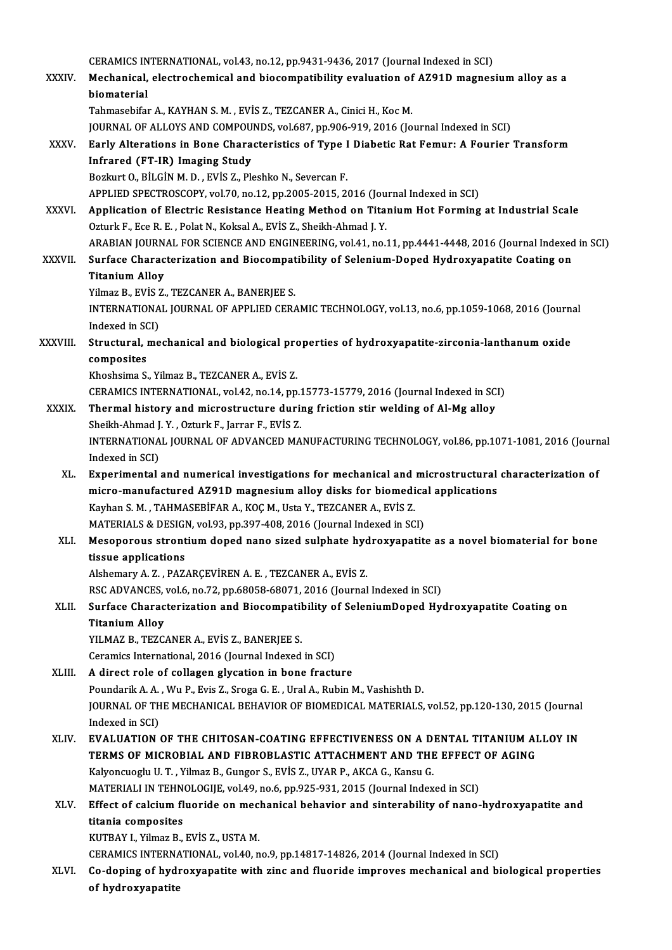|               | CERAMICS INTERNATIONAL, vol.43, no.12, pp.9431-9436, 2017 (Journal Indexed in SCI)                                                                                      |
|---------------|-------------------------------------------------------------------------------------------------------------------------------------------------------------------------|
| <b>XXXIV</b>  | Mechanical, electrochemical and biocompatibility evaluation of AZ91D magnesium alloy as a<br>biomaterial                                                                |
|               | Tahmasebifar A., KAYHAN S. M., EVİS Z., TEZCANER A., Cinici H., Koc M.                                                                                                  |
|               | JOURNAL OF ALLOYS AND COMPOUNDS, vol.687, pp.906-919, 2016 (Journal Indexed in SCI)                                                                                     |
| XXXV.         | Early Alterations in Bone Characteristics of Type I Diabetic Rat Femur: A Fourier Transform                                                                             |
|               | Infrared (FT-IR) Imaging Study                                                                                                                                          |
|               | Bozkurt O., BİLGİN M. D., EVİS Z., Pleshko N., Severcan F.                                                                                                              |
|               | APPLIED SPECTROSCOPY, vol.70, no.12, pp.2005-2015, 2016 (Journal Indexed in SCI)                                                                                        |
| <b>XXXVI</b>  | Application of Electric Resistance Heating Method on Titanium Hot Forming at Industrial Scale<br>Ozturk F., Ece R. E., Polat N., Koksal A., EVİS Z., Sheikh-Ahmad J. Y. |
|               | ARABIAN JOURNAL FOR SCIENCE AND ENGINEERING, vol.41, no.11, pp.4441-4448, 2016 (Journal Indexed in SCI)                                                                 |
| <b>XXXVII</b> | Surface Characterization and Biocompatibility of Selenium-Doped Hydroxyapatite Coating on<br><b>Titanium Alloy</b>                                                      |
|               | Yilmaz B., EVİS Z., TEZCANER A., BANERJEE S.                                                                                                                            |
|               | INTERNATIONAL JOURNAL OF APPLIED CERAMIC TECHNOLOGY, vol.13, no.6, pp.1059-1068, 2016 (Journal<br>Indexed in SCI)                                                       |
| XXXVIII.      | Structural, mechanical and biological properties of hydroxyapatite-zirconia-lanthanum oxide<br>composites                                                               |
|               | Khoshsima S., Yilmaz B., TEZCANER A., EVİS Z.                                                                                                                           |
|               | CERAMICS INTERNATIONAL, vol.42, no.14, pp.15773-15779, 2016 (Journal Indexed in SCI)                                                                                    |
| <b>XXXIX</b>  | Thermal history and microstructure during friction stir welding of Al-Mg alloy                                                                                          |
|               | Sheikh-Ahmad J. Y., Ozturk F., Jarrar F., EVIS Z.                                                                                                                       |
|               | INTERNATIONAL JOURNAL OF ADVANCED MANUFACTURING TECHNOLOGY, vol.86, pp.1071-1081, 2016 (Journal                                                                         |
|               | Indexed in SCI)                                                                                                                                                         |
| XL.           | Experimental and numerical investigations for mechanical and microstructural characterization of                                                                        |
|               | micro-manufactured AZ91D magnesium alloy disks for biomedical applications                                                                                              |
|               | Kayhan S. M., TAHMASEBİFAR A., KOÇ M., Usta Y., TEZCANER A., EVİS Z.                                                                                                    |
|               | MATERIALS & DESIGN, vol.93, pp.397-408, 2016 (Journal Indexed in SCI)                                                                                                   |
| XLI.          | Mesoporous strontium doped nano sized sulphate hydroxyapatite as a novel biomaterial for bone<br>tissue applications                                                    |
|               | Alshemary A.Z., PAZARÇEVİREN A.E., TEZCANER A., EVİS Z.                                                                                                                 |
|               | RSC ADVANCES, vol.6, no.72, pp.68058-68071, 2016 (Journal Indexed in SCI)                                                                                               |
| XLII.         | Surface Characterization and Biocompatibility of SeleniumDoped Hydroxyapatite Coating on                                                                                |
|               | <b>Titanium Alloy</b>                                                                                                                                                   |
|               | YILMAZ B., TEZCANER A., EVIS Z., BANERJEE S.                                                                                                                            |
|               | Ceramics International, 2016 (Journal Indexed in SCI)                                                                                                                   |
| XLIII.        | A direct role of collagen glycation in bone fracture<br>Poundarik A. A., Wu P., Evis Z., Sroga G. E., Ural A., Rubin M., Vashishth D.                                   |
|               | JOURNAL OF THE MECHANICAL BEHAVIOR OF BIOMEDICAL MATERIALS, vol.52, pp.120-130, 2015 (Journal                                                                           |
|               | Indexed in SCI)                                                                                                                                                         |
| XLIV.         | EVALUATION OF THE CHITOSAN-COATING EFFECTIVENESS ON A DENTAL TITANIUM ALLOY IN                                                                                          |
|               | TERMS OF MICROBIAL AND FIBROBLASTIC ATTACHMENT AND THE EFFECT OF AGING                                                                                                  |
|               | Kalyoncuoglu U. T., Yilmaz B., Gungor S., EVİS Z., UYAR P., AKCA G., Kansu G.                                                                                           |
|               | MATERIALI IN TEHNOLOGIJE, vol.49, no.6, pp.925-931, 2015 (Journal Indexed in SCI)                                                                                       |
| XLV.          | Effect of calcium fluoride on mechanical behavior and sinterability of nano-hydroxyapatite and                                                                          |
|               | titania composites                                                                                                                                                      |
|               | KUTBAY I., Yilmaz B., EVİS Z., USTA M.                                                                                                                                  |
|               | CERAMICS INTERNATIONAL, vol.40, no.9, pp.14817-14826, 2014 (Journal Indexed in SCI)                                                                                     |
| XLVI.         | Co-doping of hydroxyapatite with zinc and fluoride improves mechanical and biological properties                                                                        |
|               | of hydroxyapatite                                                                                                                                                       |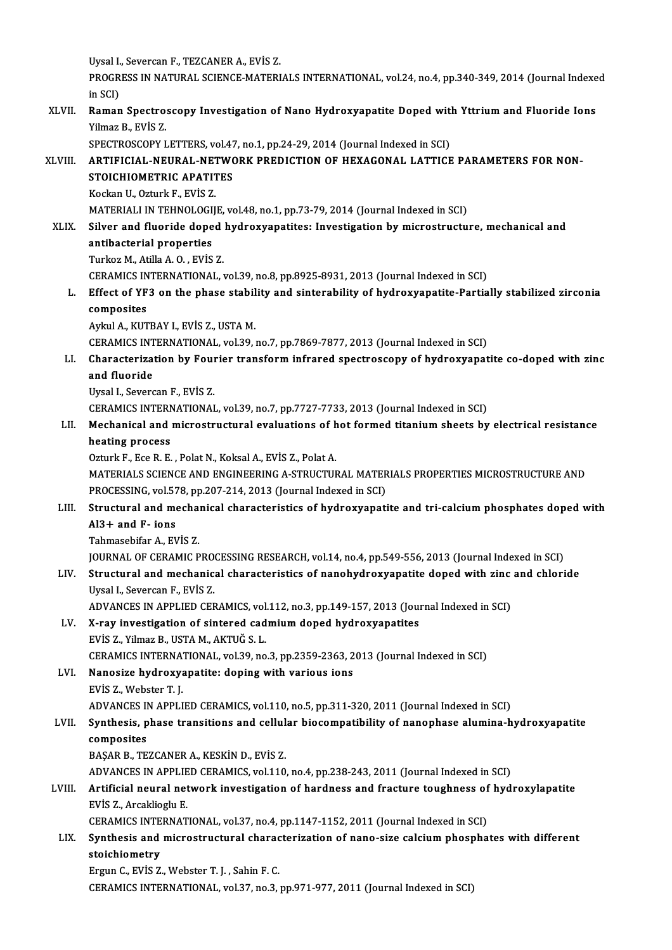Uysal I., Severcan F., TEZCANER A., EVİS Z. Uysal I., Severcan F., TEZCANER A., EVİS Z.<br>PROGRESS IN NATURAL SCIENCE-MATERIALS INTERNATIONAL, vol.24, no.4, pp.340-349, 2014 (Journal Indexed<br>in SCD Uysal I<br>PROGR<br>in SCI)<br>Paman PROGRESS IN NATURAL SCIENCE-MATERIALS INTERNATIONAL, vol.24, no.4, pp.340-349, 2014 (Journal Indexe<br>in SCI)<br>XLVII. Raman Spectroscopy Investigation of Nano Hydroxyapatite Doped with Yttrium and Fluoride Ions<br>Vilman B. Evis in SCI)<br><mark>Raman Spectro</mark>:<br>Yilmaz B., EVİS Z.<br>spectposcopy i Raman Spectroscopy Investigation of Nano Hydroxyapatite Doped with<br>SPECTROSCOPY LETTERS, vol.47, no.1, pp.24-29, 2014 (Journal Indexed in SCI)<br>ARTIEICIAL NEURAL NETWORK RREDICTION OF HEYACONAL LATTICE Yilmaz B., EVİS Z.<br>SPECTROSCOPY LETTERS, vol.47, no.1, pp.24-29, 2014 (Journal Indexed in SCI)<br>XLVIII. ARTIFICIAL-NEURAL-NETWORK PREDICTION OF HEXAGONAL LATTICE PARAMETERS FOR NON-<br>STOICHIOMETRIC ARATITES SPECTROSCOPY LETTERS, vol.47, no.1, pp.24-29, 2014 (Journal Indexed in SCI)<br>ARTIFICIAL-NEURAL-NETWORK PREDICTION OF HEXAGONAL LATTICI<br>STOICHIOMETRIC APATITES<br>Kockan U., Ozturk F., EVİS Z. ARTIFICIAL-NEURAL-NET<br>STOICHIOMETRIC APATIT<br>Kockan U., Ozturk F., EVİS Z.<br>MATERIALLIN TEHNOLOCU STOICHIOMETRIC APATITES<br>Kockan U., Ozturk F., EVİS Z.<br>MATERIALI IN TEHNOLOGIJE, vol.48, no.1, pp.73-79, 2014 (Journal Indexed in SCI)<br>Silver and flueride daned bydroxyanatites: Investigation by misrestrustu: Kockan U., Ozturk F., EVİS Z.<br>MATERIALI IN TEHNOLOGIJE, vol.48, no.1, pp.73-79, 2014 (Journal Indexed in SCI)<br>XLIX. Silver and fluoride doped hydroxyapatites: Investigation by microstructure, mechanical and<br>antibacterial p MATERIALI IN TEHNOLOGI<br>Silver and fluoride dope<br>antibacterial properties<br>Turker Madrile A.O., EVIS Silver and fluoride doped<br>antibacterial properties<br>Turkoz M., Atilla A. O. , EVİS Z.<br>CERAMICS INTERNATIONAL antibacterial properties<br>Turkoz M., Atilla A. O. , EVİS Z.<br>CERAMICS INTERNATIONAL, vol.39, no.8, pp.8925-8931, 2013 (Journal Indexed in SCI)<br>Effect of YE2, on the nhase stability and sinterability of bydnowyanatite Bartis Turkoz M., Atilla A. O. , EVİS Z.<br>CERAMICS INTERNATIONAL, vol.39, no.8, pp.8925-8931, 2013 (Journal Indexed in SCI)<br>L. Effect of YF3 on the phase stability and sinterability of hydroxyapatite-Partially stabilized zirconia **CERAMICS IN<br>Effect of YF<br>composites** Effect of YF3 on the phase stabil<br>composites<br>Aykul A., KUTBAY I., EVİS Z., USTA M.<br>CERAMICS INTERNATIONAL, vol 30 . composites<br>Aykul A., KUTBAY I., EVİS Z., USTA M.<br>CERAMICS INTERNATIONAL, vol.39, no.7, pp.7869-7877, 2013 (Journal Indexed in SCI)<br>Shanastoriration by Fourier transform infraned anestrossony of bydnowspat Aykul A., KUTBAY I., EVİS Z., USTA M.<br>CERAMICS INTERNATIONAL, vol.39, no.7, pp.7869-7877, 2013 (Journal Indexed in SCI)<br>LI. Characterization by Fourier transform infrared spectroscopy of hydroxyapatite co-doped with zi **CERAMICS INT**<br>Characterizat<br>and fluoride<br>Uveal L Sevens Characterization by Foul<br>and fluoride<br>Uysal I., Severcan F., EVİS Z.<br>CERAMICS INTERNATIONAL and fluoride<br>Uysal I., Severcan F., EVİS Z.<br>CERAMICS INTERNATIONAL, vol.39, no.7, pp.7727-7733, 2013 (Journal Indexed in SCI) Uysal I., Severcan F., EVİS Z.<br>CERAMICS INTERNATIONAL, vol.39, no.7, pp.7727-7733, 2013 (Journal Indexed in SCI)<br>LII. Mechanical and microstructural evaluations of hot formed titanium sheets by electrical resistance<br>he **CERAMICS INTERN<br>Mechanical and<br>heating process**<br>Orturk E. Eco B. E Mechanical and microstructural evaluations of h<br>heating process<br>Ozturk F., Ece R. E. , Polat N., Koksal A., EVİS Z., Polat A.<br>MATERIALS SCIENCE AND ENCINEERING A STRUCTUE heating process<br>Ozturk F., Ece R. E. , Polat N., Koksal A., EVİS Z., Polat A.<br>MATERIALS SCIENCE AND ENGINEERING A-STRUCTURAL MATERIALS PROPERTIES MICROSTRUCTURE AND<br>PROCESSINC, vel 578, pp.207,214, 2012 (Jaurnal Indoved in Ozturk F., Ece R. E. , Polat N., Koksal A., EVİS Z., Polat A.<br>MATERIALS SCIENCE AND ENGINEERING A-STRUCTURAL MATER<br>PROCESSING, vol.578, pp.207-214, 2013 (Journal Indexed in SCI)<br>Structural and mochanisal sharastaristics of MATERIALS SCIENCE AND ENGINEERING A-STRUCTURAL MATERIALS PROPERTIES MICROSTRUCTURE AND<br>PROCESSING, vol.578, pp.207-214, 2013 (Journal Indexed in SCI)<br>LIII. Structural and mechanical characteristics of hydroxyapatite and tr PROCESSING, vol.578, pp.207-214, 2013 (Journal Indexed in SCI)<br>Structural and mechanical characteristics of hydroxyapati<br>Al3+ and F- ions<br>Tahmasebifar A., EVIS Z. Structural and mechanical characteristics of hydroxyapatite and tri-calcium phosphates doped with JOURNAL OF CERAMIC PROCESSING RESEARCH, vol.14, no.4, pp.549-556, 2013 (Journal Indexed in SCI) Tahmasebifar A., EVİS Z.<br>JOURNAL OF CERAMIC PROCESSING RESEARCH, vol.14, no.4, pp.549-556, 2013 (Journal Indexed in SCI)<br>LIV. Structural and mechanical characteristics of nanohydroxyapatite doped with zinc and chloride<br>Urg **JOURNAL OF CERAMIC PROM**<br>**Structural and mechanic:**<br>Uysal I., Severcan F., EVİS Z.<br>ADVANCES IN APPLIED CEL Structural and mechanical characteristics of nanohydroxyapatite doped with zinc<br>Uysal I., Severcan F., EVİS Z.<br>ADVANCES IN APPLIED CERAMICS, vol.112, no.3, pp.149-157, 2013 (Journal Indexed in SCI)<br>Y. nov. investigation of Uysal I., Severcan F., EVİS Z.<br>ADVANCES IN APPLIED CERAMICS, vol.112, no.3, pp.149-157, 2013 (Journal LV.<br>LV. X-ray investigation of sintered cadmium doped hydroxyapatites ADVANCES IN APPLIED CERAMICS, vol<br>X-ray investigation of sintered cad<br>EVİS Z., Yilmaz B., USTA M., AKTUĞ S. L.<br>CERAMICS INTERNATIONAL .vol 30, no LV. X-ray investigation of sintered cadmium doped hydroxyapatites<br>EVIS Z., Yilmaz B., USTA M., AKTUĞ S. L.<br>CERAMICS INTERNATIONAL, vol.39, no.3, pp.2359-2363, 2013 (Journal Indexed in SCI) EVİS Z., Yilmaz B., USTA M., AKTUĞ S. L.<br>CERAMICS INTERNATIONAL, vol.39, no.3, pp.2359-2363, 2<br>LVI. Nanosize hydroxyapatite: doping with various ions<br>EVIS 7. Webster T. I **CERAMICS INTERNA<br>Nanosize hydroxy:<br>EVİS Z., Webster T. J.<br>ADVANCES IN APPLI** EVIS Z., Webster T. J.<br>ADVANCES IN APPLIED CERAMICS, vol.110, no.5, pp.311-320, 2011 (Journal Indexed in SCI) EVIS Z., Webster T. J.<br>ADVANCES IN APPLIED CERAMICS, vol.110, no.5, pp.311-320, 2011 (Journal Indexed in SCI)<br>LVII. Synthesis, phase transitions and cellular biocompatibility of nanophase alumina-hydroxyapatite<br>composites ADVANCES II<br>Synthesis, p<br>composites<br>PASAR R. TE Synthesis, phase transitions and cellul<br>composites<br>BAŞAR B., TEZCANER A., KESKİN D., EVİS Z.<br>ADVANCES IN APRLIED CERAMICS .vol.110 composites<br>BAŞAR B., TEZCANER A., KESKİN D., EVİS Z.<br>ADVANCES IN APPLIED CERAMICS, vol.110, no.4, pp.238-243, 2011 (Journal Indexed in SCI)<br>Artificial nouvel network investigation of bordness and freetune toughness of byd. BAŞAR B., TEZCANER A., KESKİN D., EVİS Z.<br>ADVANCES IN APPLIED CERAMICS, vol.110, no.4, pp.238-243, 2011 (Journal Indexed in SCI)<br>LVIII. Artificial neural network investigation of hardness and fracture toughness of hydr ADVANCES IN APPLIE<br>Artificial neural net<br>EVIS Z., Arcaklioglu E.<br>CERAMICS INTERNAT Artificial neural network investigation of hardness and fracture toughness of<br>EVİS Z., Arcaklioglu E.<br>CERAMICS INTERNATIONAL, vol.37, no.4, pp.1147-1152, 2011 (Journal Indexed in SCI)<br>Synthesis and misrestrustural share st EVİS Z., Arcaklioglu E.<br>CERAMICS INTERNATIONAL, vol.37, no.4, pp.1147-1152, 2011 (Journal Indexed in SCI)<br>LIX. Synthesis and microstructural characterization of nano-size calcium phosphates with different<br> **CERAMICS INTE**<br>Synthesis and<br>stoichiometry<br>Fraun C. EVIS 7 Synthesis and microstructural charac<br>stoichiometry<br>Ergun C., EVİS Z., Webster T. J. , Sahin F. C.<br>CERAMICS INTERNATIONAL, val 37, no 3 stoichiometry<br>Ergun C., EVİS Z., Webster T. J. , Sahin F. C.<br>CERAMICS INTERNATIONAL, vol.37, no.3, pp.971-977, 2011 (Journal Indexed in SCI)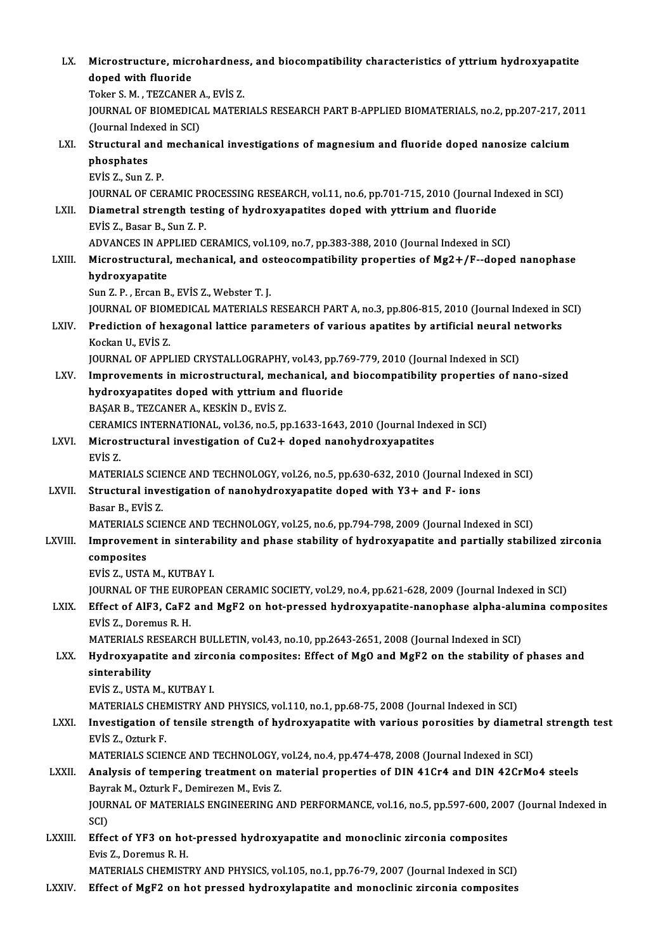| LX.          | Microstructure, microhardness, and biocompatibility characteristics of yttrium hydroxyapatite          |
|--------------|--------------------------------------------------------------------------------------------------------|
|              | doped with fluoride                                                                                    |
|              | Toker S. M., TEZCANER A., EVIS Z.                                                                      |
|              | JOURNAL OF BIOMEDICAL MATERIALS RESEARCH PART B-APPLIED BIOMATERIALS, no.2, pp.207-217, 2011           |
|              | (Journal Indexed in SCI)                                                                               |
| LXI.         | Structural and mechanical investigations of magnesium and fluoride doped nanosize calcium              |
|              | phosphates                                                                                             |
|              | EVIS Z, Sun Z P                                                                                        |
|              | JOURNAL OF CERAMIC PROCESSING RESEARCH, vol.11, no.6, pp.701-715, 2010 (Journal Indexed in SCI)        |
| LXII.        | Diametral strength testing of hydroxyapatites doped with yttrium and fluoride                          |
|              | EVİS Z, Basar B, Sun Z P.                                                                              |
|              | ADVANCES IN APPLIED CERAMICS, vol.109, no.7, pp.383-388, 2010 (Journal Indexed in SCI)                 |
| LXIII.       | Microstructural, mechanical, and osteocompatibility properties of Mg2+/F--doped nanophase              |
|              | hydroxyapatite                                                                                         |
|              | Sun Z. P., Ercan B., EVIS Z., Webster T. J.                                                            |
|              | JOURNAL OF BIOMEDICAL MATERIALS RESEARCH PART A, no.3, pp.806-815, 2010 (Journal Indexed in SCI)       |
| LXIV.        | Prediction of hexagonal lattice parameters of various apatites by artificial neural networks           |
|              | Kockan U, EVIS Z.                                                                                      |
|              | JOURNAL OF APPLIED CRYSTALLOGRAPHY, vol.43, pp.769-779, 2010 (Journal Indexed in SCI)                  |
| LXV.         | Improvements in microstructural, mechanical, and biocompatibility properties of nano-sized             |
|              | hydroxyapatites doped with yttrium and fluoride                                                        |
|              | BAŞAR B., TEZCANER A., KESKİN D., EVİS Z.                                                              |
|              | CERAMICS INTERNATIONAL, vol.36, no.5, pp.1633-1643, 2010 (Journal Indexed in SCI)                      |
| LXVI.        | Microstructural investigation of Cu2+ doped nanohydroxyapatites                                        |
|              | EVIS <sub>Z</sub>                                                                                      |
|              | MATERIALS SCIENCE AND TECHNOLOGY, vol.26, no.5, pp.630-632, 2010 (Journal Indexed in SCI)              |
| LXVII.       | Structural investigation of nanohydroxyapatite doped with Y3+ and F- ions                              |
|              | Basar B, EVIS Z                                                                                        |
|              | MATERIALS SCIENCE AND TECHNOLOGY, vol.25, no.6, pp.794-798, 2009 (Journal Indexed in SCI)              |
| LXVIII.      | Improvement in sinterability and phase stability of hydroxyapatite and partially stabilized zirconia   |
|              | composites                                                                                             |
|              | EVİS Z., USTA M., KUTBAY I.                                                                            |
|              | JOURNAL OF THE EUROPEAN CERAMIC SOCIETY, vol.29, no.4, pp.621-628, 2009 (Journal Indexed in SCI)       |
| LXIX.        | Effect of AlF3, CaF2 and MgF2 on hot-pressed hydroxyapatite-nanophase alpha-alumina composites         |
|              | EVIS Z., Doremus R. H.                                                                                 |
|              | MATERIALS RESEARCH BULLETIN, vol.43, no.10, pp.2643-2651, 2008 (Journal Indexed in SCI)                |
| LXX.         | Hydroxyapatite and zirconia composites: Effect of MgO and MgF2 on the stability of phases and          |
|              | sinterability                                                                                          |
|              | EVİS Z., USTA M., KUTBAY I.                                                                            |
|              | MATERIALS CHEMISTRY AND PHYSICS, vol.110, no.1, pp.68-75, 2008 (Journal Indexed in SCI)                |
| <b>LXXI</b>  | Investigation of tensile strength of hydroxyapatite with various porosities by diametral strength test |
|              | EVIS Z., Ozturk F.                                                                                     |
|              | MATERIALS SCIENCE AND TECHNOLOGY, vol.24, no.4, pp.474-478, 2008 (Journal Indexed in SCI)              |
| <b>LXXII</b> | Analysis of tempering treatment on material properties of DIN 41Cr4 and DIN 42CrMo4 steels             |
|              | Bayrak M., Ozturk F., Demirezen M., Evis Z.                                                            |
|              | JOURNAL OF MATERIALS ENGINEERING AND PERFORMANCE, vol.16, no.5, pp.597-600, 2007 (Journal Indexed in   |
|              | SCI)                                                                                                   |
| LXXIII.      | Effect of YF3 on hot-pressed hydroxyapatite and monoclinic zirconia composites                         |
|              | Evis Z., Doremus R. H.                                                                                 |
|              | MATERIALS CHEMISTRY AND PHYSICS, vol.105, no.1, pp.76-79, 2007 (Journal Indexed in SCI)                |
| LXXIV.       | Effect of MgF2 on hot pressed hydroxylapatite and monoclinic zirconia composites                       |
|              |                                                                                                        |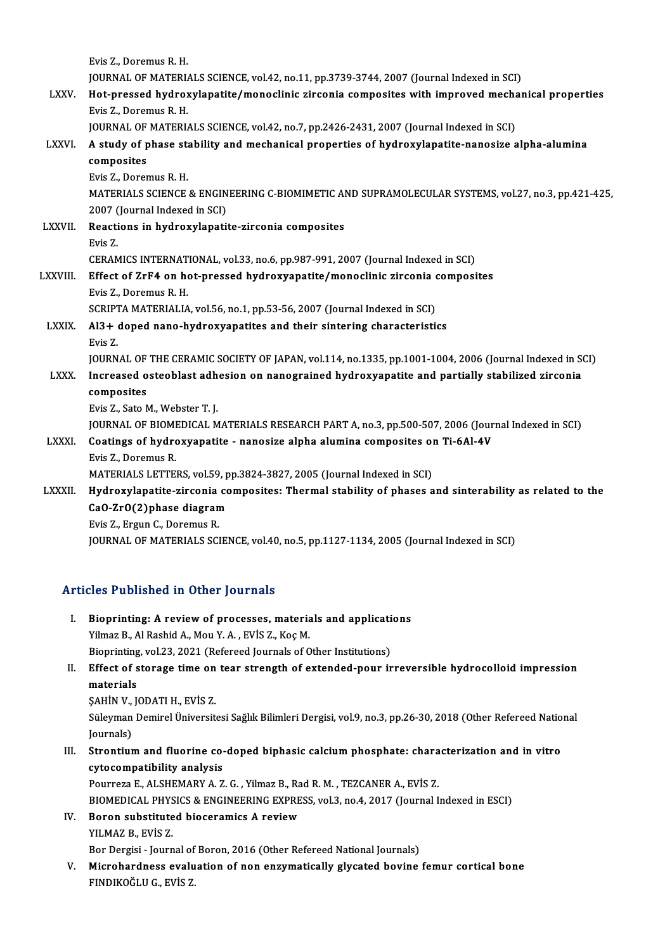|               | Evis Z., Doremus R. H.                                                                                 |
|---------------|--------------------------------------------------------------------------------------------------------|
|               | JOURNAL OF MATERIALS SCIENCE, vol.42, no.11, pp.3739-3744, 2007 (Journal Indexed in SCI)               |
| LXXV.         | Hot-pressed hydroxylapatite/monoclinic zirconia composites with improved mechanical properties         |
|               | Evis Z., Doremus R. H.                                                                                 |
|               | JOURNAL OF MATERIALS SCIENCE, vol.42, no.7, pp.2426-2431, 2007 (Journal Indexed in SCI)                |
| <b>LXXVI</b>  | A study of phase stability and mechanical properties of hydroxylapatite-nanosize alpha-alumina         |
|               | composites                                                                                             |
|               | Evis Z., Doremus R. H.                                                                                 |
|               | MATERIALS SCIENCE & ENGINEERING C-BIOMIMETIC AND SUPRAMOLECULAR SYSTEMS, vol.27, no.3, pp.421-425,     |
|               | 2007 (Journal Indexed in SCI)                                                                          |
| <b>LXXVII</b> | Reactions in hydroxylapatite-zirconia composites                                                       |
|               | Evis Z                                                                                                 |
|               | CERAMICS INTERNATIONAL, vol.33, no.6, pp.987-991, 2007 (Journal Indexed in SCI)                        |
| LXXVIII.      | Effect of ZrF4 on hot-pressed hydroxyapatite/monoclinic zirconia composites                            |
|               | Evis Z., Doremus R. H.                                                                                 |
|               | SCRIPTA MATERIALIA, vol.56, no.1, pp.53-56, 2007 (Journal Indexed in SCI)                              |
| <b>LXXIX</b>  | Al3+ doped nano-hydroxyapatites and their sintering characteristics                                    |
|               | Evis Z                                                                                                 |
|               | JOURNAL OF THE CERAMIC SOCIETY OF JAPAN, vol.114, no.1335, pp.1001-1004, 2006 (Journal Indexed in SCI) |
| <b>LXXX</b>   | Increased osteoblast adhesion on nanograined hydroxyapatite and partially stabilized zirconia          |
|               | composites                                                                                             |
|               | Evis Z., Sato M., Webster T. J.                                                                        |
|               | JOURNAL OF BIOMEDICAL MATERIALS RESEARCH PART A, no.3, pp.500-507, 2006 (Journal Indexed in SCI)       |
| <b>LXXXI</b>  | Coatings of hydroxyapatite - nanosize alpha alumina composites on Ti-6Al-4V                            |
|               | Evis Z., Doremus R.                                                                                    |
|               | MATERIALS LETTERS, vol 59, pp.3824-3827, 2005 (Journal Indexed in SCI)                                 |
| <b>LXXXII</b> | Hydroxylapatite-zirconia composites: Thermal stability of phases and sinterability as related to the   |
|               | CaO-ZrO(2)phase diagram                                                                                |
|               | Evis Z., Ergun C., Doremus R.                                                                          |
|               | JOURNAL OF MATERIALS SCIENCE, vol.40, no.5, pp.1127-1134, 2005 (Journal Indexed in SCI)                |

### Articles Published in Other Journals

rticles Published in Other Journals<br>I. Bioprinting: A review of processes, materials and applications<br>Wilmas B. Al Bashid A. May V.A., EVIS 7, Kas M Yilmaz B., Al Rashid A., Mou Y. A., EVİS Z., Koç M. Bioprinting: A review of processes, materials and applicati<br>Yilmaz B., Al Rashid A., Mou Y. A. , EVİS Z., Koç M.<br>Bioprinting, vol.23, 2021 (Refereed Journals of Other Institutions)<br>Fffect of starage time on tear strength o Bioprinting, vol.23, 2021 (Refereed Journals of Other Institutions)

## II. Effect of storage time on tear strength of extended-pour irreversible hydrocolloid impression materials Effect of storage time on<br>materials<br>ŞAHİN V., JODATI H., EVİS Z.<br>Sülayman Damiral Üniversit

Süleyman Demirel Üniversitesi Sağlık Bilimleri Dergisi, vol.9, no.3, pp.26-30, 2018 (Other Refereed National Journals) ŞAHİN V.,<br>Süleyman<br>Journals)<br>Strontiur Süleyman Demirel Üniversitesi Sağlık Bilimleri Dergisi, vol.9, no.3, pp.26-30, 2018 (Other Refereed Natio<br>Journals)<br>III. Strontium and fluorine co-doped biphasic calcium phosphate: characterization and in vitro<br>autogermati

Journals)<br>Strontium and fluorine co-<br>cytocompatibility analysis<br>Bourrege E. ALSHEMARY A.Z Strontium and fluorine co-doped biphasic calcium phosphate: chara<br>cytocompatibility analysis<br>Pourreza E., ALSHEMARY A. Z. G. , Yilmaz B., Rad R. M. , TEZCANER A., EVİS Z.<br>PIOMEDICAL PUVSICS & ENCINEERING EVPRESS .vol.2, no

cytocompatibility analysis<br>Pourreza E., ALSHEMARY A. Z. G. , Yilmaz B., Rad R. M. , TEZCANER A., EVİS Z.<br>BIOMEDICAL PHYSICS & ENGINEERING EXPRESS, vol.3, no.4, 2017 (Journal Indexed in ESCI)<br>Poron substituted biogeramics A Pourreza E., ALSHEMARY A. Z. G., Yilmaz B., Ra<br>BIOMEDICAL PHYSICS & ENGINEERING EXPRE<br>IV. Boron substituted bioceramics A review<br>VILMAZ B. EVIS Z

- BIOMEDICAL PHYS<br>**Boron substitute**<br>YILMAZ B., EVİS Z.<br>Por Dergisi , Jeurn IV. Boron substituted bioceramics A review<br>
YILMAZ B., EVIS Z.<br>
Bor Dergisi - Journal of Boron, 2016 (Other Refereed National Journals)
- YILMAZ B., EVİS Z.<br>Bor Dergisi Journal of Boron, 2016 (Other Refereed National Journals)<br>V. Microhardness evaluation of non enzymatically glycated bovine femur cortical bone<br>FINDIKOČLU.C. EVİS 7 Bor Dergisi - Journal of<br><mark>Microhardness evalu</mark><br>FINDIKOĞLU G., EVİS Z.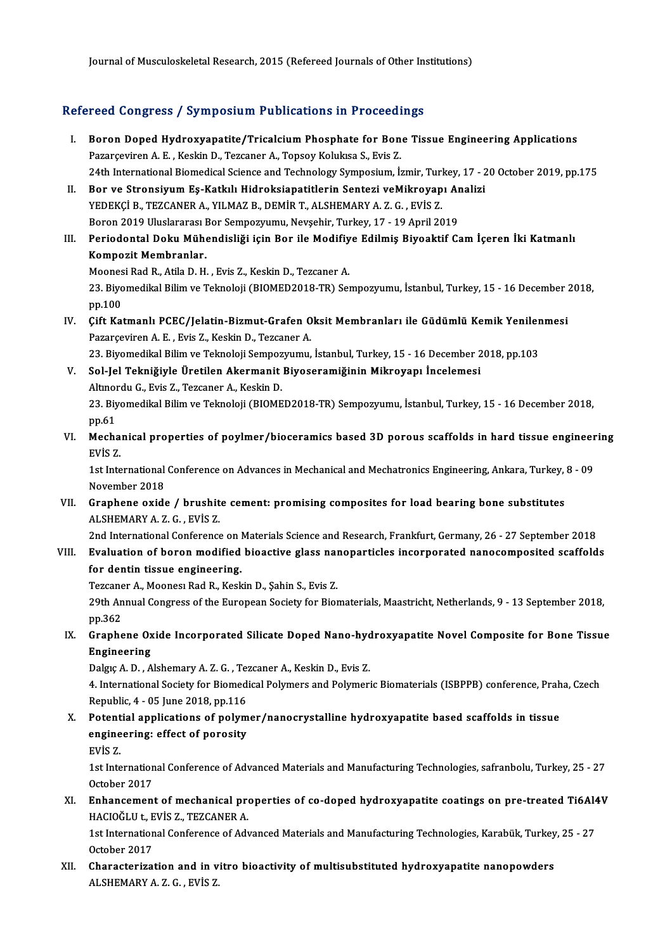Journal of Musculoskeletal Research, 2015 (Refereed Journals of Other Institutions)

## Refereed Congress / Symposium Publications in Proceedings

- efereed Congress / Symposium Publications in Proceedings<br>I. Boron Doped Hydroxyapatite/Tricalcium Phosphate for Bone Tissue Engineering Applications<br>Pagareoviron A.E., Koskin D. Taganer A. Tansov Kolulasa S. Evis 7 Pazarçeviren A.E., Keskin D., Tezcaner A., Topsoy Kolukısa S., Evis Z.<br>Pazarçeviren A.E., Keskin D., Tezcaner A., Topsoy Kolukısa S., Evis Z.<br>24th International Biomedical Science and Technology Symposium In Boron Doped Hydroxyapatite/Tricalcium Phosphate for Bone Tissue Engineering Applications<br>Pazarçeviren A. E. , Keskin D., Tezcaner A., Topsoy Kolukısa S., Evis Z.<br>24th International Biomedical Science and Technology Symposi Pazarçeviren A. E. , Keskin D., Tezcaner A., Topsoy Kolukısa S., Evis Z.<br>24th International Biomedical Science and Technology Symposium, İzmir, Turkey, 17 - 2<br>II. Bor ve Stronsiyum Eş-Katkılı Hidroksiapatitlerin Sentezi ve 24th International Biomedical Science and Technology Symposium, İzmir, Turl<br>Bor ve Stronsiyum Eş-Katkılı Hidroksiapatitlerin Sentezi veMikroyap<br>YEDEKÇİ B., TEZCANER A., YILMAZ B., DEMİR T., ALSHEMARY A. Z. G. , EVİS Z.<br>Per Bor ve Stronsiyum Eş-Katkılı Hidroksiapatitlerin Sentezi veMikroyapı Ar<br>YEDEKÇİ B., TEZCANER A., YILMAZ B., DEMİR T., ALSHEMARY A. Z. G. , EVİS Z.<br>Boron 2019 Uluslararası Bor Sempozyumu, Nevşehir, Turkey, 17 - 19 April 201 YEDEKÇİ B., TEZCANER A., YILMAZ B., DEMİR T., ALSHEMARY A. Z. G. , EVİS Z.<br>Boron 2019 Uluslararası Bor Sempozyumu, Nevşehir, Turkey, 17 - 19 April 2019<br>III. Periodontal Doku Mühendisliği için Bor ile Modifiye Edilmiş B Boron 2019 Uluslararası I<br>Periodontal Doku Mühe<br>Kompozit Membranlar.<br>Meanesi Bod B. Atila D. H Periodontal Doku Mühendisliği için Bor ile Modifiy<br>Kompozit Membranlar.<br>Moonesi Rad R., Atila D. H. , Evis Z., Keskin D., Tezcaner A.<br>22. Biyomedikal Bilim ve Teknoloji (BIOMED2019 TP) Ser Kompozit Membranlar.<br>Moonesi Rad R., Atila D. H. , Evis Z., Keskin D., Tezcaner A.<br>23. Biyomedikal Bilim ve Teknoloji (BIOMED2018-TR) Sempozyumu, İstanbul, Turkey, 15 - 16 December 2018,<br>pp.100 Moonesi Rad R., Atila D. H., Evis Z., Keskin D., Tezcaner A. 23. Biyomedikal Bilim ve Teknoloji (BIOMED2018-TR) Sempozyumu, İstanbul, Turkey, 15 - 16 December :<br>pp.100<br>IV. Cift Katmanlı PCEC/Jelatin-Bizmut-Grafen Oksit Membranları ile Güdümlü Kemik Yenilenmesi pp.100<br>Çift Katmanlı PCEC/Jelatin-Bizmut-Grafen O<br>Pazarçeviren A. E. , Evis Z., Keskin D., Tezcaner A.<br>22. Biyamedikal Bilim ve Talmalaji Samnamuwu Çift Katmanlı PCEC/Jelatin-Bizmut-Grafen Oksit Membranları ile Güdümlü Kemik Yeniler<br>Pazarçeviren A. E. , Evis Z., Keskin D., Tezcaner A.<br>23. Biyomedikal Bilim ve Teknoloji Sempozyumu, İstanbul, Turkey, 15 - 16 December 20 Pazarçeviren A. E. , Evis Z., Keskin D., Tezcaner A.<br>23. Biyomedikal Bilim ve Teknoloji Sempozyumu, İstanbul, Turkey, 15 - 16 December 2<br>19. Sol-Jel Tekniğiyle Üretilen Akermanit Biyoseramiğinin Mikroyapı İncelemesi<br>19. Al 23. Biyomedikal Bilim ve Teknoloji Sempoz<br>Sol-Jel Tekniğiyle Üretilen Akermanit<br>Altınordu G., Evis Z., Tezcaner A., Keskin D.<br>22. Biyomedikal Bilim ve Teknoloji (BIOME 23. Biyomedikal Bilim ve Teknoloji (BIOMED2018-TR) Sempozyumu, İstanbul, Turkey, 15 - 16 December 2018, pp.61 Altınordu G., Evis Z., Tezcaner A., Keskin D. 23. Biyomedikal Bilim ve Teknoloji (BIOMED2018-TR) Sempozyumu, İstanbul, Turkey, 15 - 16 December 2018,<br>pp.61<br>VI. Mechanical properties of poylmer/bioceramics based 3D porous scaffolds in hard tissue engineering<br>rvis 7 pp.61<br>Mecha<br>EVİS Z.<br><sup>1st Inte</sup> Mechanical properties of poylmer/bioceramics based 3D porous scaffolds in hard tissue engineer<br>EVIS Z.<br>1st International Conference on Advances in Mechanical and Mechatronics Engineering, Ankara, Turkey, 8 - 09<br>Navambar 20 EVİS Z.<br>1st International<br>November 2018<br>Crapbene evide 1st International Conference on Advances in Mechanical and Mechatronics Engineering, Ankara, Turkey,<br>November 2018<br>VII. Graphene oxide / brushite cement: promising composites for load bearing bone substitutes<br>ALSUEMARY A.Z November 2018<br>VII. Graphene oxide / brushite cement: promising composites for load bearing bone substitutes<br>ALSHEMARY A. Z. G. , EVİS Z. Graphene oxide / brushite cement: promising composites for load bearing bone substitutes<br>ALSHEMARY A. Z. G. , EVİS Z.<br>2nd International Conference on Materials Science and Research, Frankfurt, Germany, 26 - 27 September 20 ALSHEMARY A. Z. G. , EVİS Z.<br>2nd International Conference on Materials Science and Research, Frankfurt, Germany, 26 - 27 September 2018<br>2011. Evaluation of boron modified bioactive glass nanoparticles incorporated nano 2nd International Conference on 1<br>Evaluation of boron modified<br>for dentin tissue engineering.<br>Tersanan A. Moonen Pod P. Koek Evaluation of boron modified bioactive glass nai<br>for dentin tissue engineering.<br>Tezcaner A., Moonesı Rad R., Keskin D., Şahin S., Evis Z.<br>20th Annual Congress of the European Sesisty for Bior for dentin tissue engineering.<br>Tezcaner A., Moonesı Rad R., Keskin D., Şahin S., Evis Z.<br>29th Annual Congress of the European Society for Biomaterials, Maastricht, Netherlands, 9 - 13 September 2018, Tezcane<br>29th An<br>pp.362<br>Cranhe 29th Annual Congress of the European Society for Biomaterials, Maastricht, Netherlands, 9 - 13 September 2018,<br>IX. Graphene Oxide Incorporated Silicate Doped Nano-hydroxyapatite Novel Composite for Bone Tissue<br>Engineering pp.362<br>Graphene Ox<br>Engineering<br>Dalgy A.D. A Graphene Oxide Incorporated Silicate Doped Nano-hyd<br>Engineering<br>Dalgıç A. D. , Alshemary A. Z. G. , Tezcaner A., Keskin D., Evis Z.<br>4. International Society for Piemedical Polymers and Polymeri Engineering<br>Dalgıç A. D. , Alshemary A. Z. G. , Tezcaner A., Keskin D., Evis Z.<br>4. International Society for Biomedical Polymers and Polymeric Biomaterials (ISBPPB) conference, Praha, Czech<br>Ropublis 4., 05 June 2018, pp.11 Dalgıç A. D. , Alshemary A. Z. G. , Te:<br>4. International Society for Biomed:<br>Republic, 4 - 05 June 2018, pp.116<br>Petential annisations of polym 4. International Society for Biomedical Polymers and Polymeric Biomaterials (ISBPPB) conference, Prah<br>Republic, 4 - 05 June 2018, pp.116<br>X. Potential applications of polymer/nanocrystalline hydroxyapatite based scaffolds i Republic, 4 - 05 June 2018, pp.116<br>Potential applications of polym<br>engineering: effect of porosity<br>Fivis 7 Potent<br>engine<br>EVİS Z.<br>1st Inte engineering: effect of porosity<br>EVİS Z.<br>1st International Conference of Advanced Materials and Manufacturing Technologies, safranbolu, Turkey, 25 - 27 EVIS Z<br>1st Internation<br>October 2017<br>Enhancomoni 1st International Conference of Advanced Materials and Manufacturing Technologies, safranbolu, Turkey, 25 - 27<br>October 2017<br>XI. Enhancement of mechanical properties of co-doped hydroxyapatite coatings on pre-treated Ti6Al4 October 2017<br>XI. Enhancement of mechanical properties of co-doped hydroxyapatite coatings on pre-treated Ti6Al4V<br>HACIOĞLU t., EVİS Z., TEZCANER A. Enhancement of mechanical properties of co-doped hydroxyapatite coatings on pre-treated Ti6Al4<br>HACIOĞLU t., EVİS Z., TEZCANER A.<br>1st International Conference of Advanced Materials and Manufacturing Technologies, Karabük, T HACIOĞLU t., E<br>1st Internation<br>October 2017<br>Chanastariusi
- 1st International Conference of Advanced Materials and Manufacturing Technologies, Karabük, Turkey<br>October 2017<br>XII. Characterization and in vitro bioactivity of multisubstituted hydroxyapatite nanopowders<br>ALSUEMARY A.Z.C. October 2017<br>XII. Characterization and in vitro bioactivity of multisubstituted hydroxyapatite nanopowders<br>ALSHEMARY A. Z. G., EVIS Z.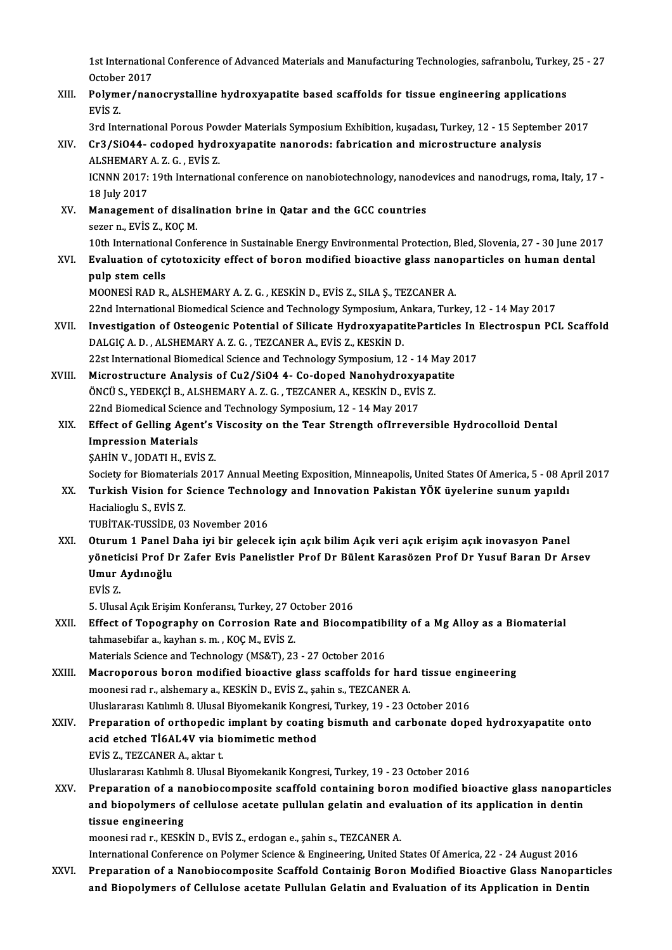1st International Conference of Advanced Materials and Manufacturing Technologies, safranbolu, Turkey, 25 - 27<br>Osteber 2017 1st Internation<br>October 2017<br>Polumar/nan

1st International Conference of Advanced Materials and Manufacturing Technologies, safranbolu, Turkey,<br>October 2017<br>XIII. Polymer/nanocrystalline hydroxyapatite based scaffolds for tissue engineering applications<br>EVIS 7 October 2017<br>XIII. Polymer/nanocrystalline hydroxyapatite based scaffolds for tissue engineering applications<br>EVIS Z. Polymer/nanocrystalline hydroxyapatite based scaffolds for tissue engineering applications<br>EVIS Z.<br>3rd International Porous Powder Materials Symposium Exhibition, kuşadası, Turkey, 12 - 15 September 2017<br>Cr3/SiO44, sedened XIV. Cr3/SiO44- codoped hydroxyapatite nanorods: fabrication andmicrostructure analysis 3rd International Porous Pov<br>Cr3/SiO44- codoped hydr<br>ALSHEMARY A. Z. G. , EVİS Z.<br>ICNNN 2017, 19th Internatio ICNNN 2017: 19th International conference on nanobiotechnology, nanodevices and nanodrugs, roma, Italy, 17 -<br>18 July 2017 ALSHEMARY A.Z. G., EVIS Z. ICNNN 2017: 19th International conference on nanobiotechnology, nanod<br>18 July 2017<br>XV. Management of disalination brine in Qatar and the GCC countries<br>5000 n EVIS 7, VOCM 18 July 2017<br>Management of disali<br>sezer n., EVİS Z., KOÇ M.<br>10th International Conf sezer n., EVİS Z., KOÇ M.<br>10th International Conference in Sustainable Energy Environmental Protection, Bled, Slovenia, 27 - 30 June 2017 sezer n., EVİS Z., KOÇ M.<br>10th International Conference in Sustainable Energy Environmental Protection, Bled, Slovenia, 27 - 30 June 201<br>12. Evaluation of cytotoxicity effect of boron modified bioactive glass nanoparticles 10th Internationa<br>Evaluation of cy<br>pulp stem cells<br>MOONESI BAD B

pulp stem cells<br>MOONESİ RAD R., ALSHEMARY A. Z. G. , KESKİN D., EVİS Z., SILA Ş., TEZCANER A. 22nd International Biomedical Science and Technology Symposium, Ankara, Turkey, 12 - 14 May 2017 MOONESI RAD R., ALSHEMARY A. Z. G. , KESKIN D., EVIS Z., SILA Ş., TEZCANER A.<br>22nd International Biomedical Science and Technology Symposium, Ankara, Turkey, 12 - 14 May 2017<br>XVII. Investigation of Osteogenic Potential of

- 22nd International Biomedical Science and Technology Symposium, A<br>Investigation of Osteogenic Potential of Silicate Hydroxyapati<br>DALGIÇ A. D. , ALSHEMARY A. Z. G. , TEZCANER A., EVİS Z., KESKİN D.<br>22st International Biomed Investigation of Osteogenic Potential of Silicate HydroxyapatiteParticles In 1<br>DALGIÇ A. D. , ALSHEMARY A. Z. G. , TEZCANER A., EVİS Z., KESKİN D.<br>22st International Biomedical Science and Technology Symposium, 12 - 14 May DALGIÇ A. D., ALSHEMARY A. Z. G., TEZCANER A., EVİS Z., KESKİN D.<br>22st International Biomedical Science and Technology Symposium, 12 - 14 May 2<br>XVIII. Microstructure Analysis of Cu2/SiO4 4- Co-doped Nanohydroxyapatite<br>ÖNCÜ
- 22st International Biomedical Science and Technology Symposium, 12 14 M<br>Microstructure Analysis of Cu2/SiO4 4- Co-doped Nanohydroxyapa<br>ÖNCÜ S., YEDEKÇİ B., ALSHEMARY A. Z. G. , TEZCANER A., KESKİN D., EVİS Z.<br>22nd Biomed Microstructure Analysis of Cu2/SiO4 4- Co-doped Nanohydroxyapatite<br>ÖNCÜ S., YEDEKÇİ B., ALSHEMARY A. Z. G. , TEZCANER A., KESKİN D., EVİS Z.<br>22nd Biomedical Science and Technology Symposium, 12 - 14 May 2017
- ÖNCÜ S., YEDEKÇİ B., ALSHEMARY A. Z. G. , TEZCANER A., KESKİN D., EVİS Z.<br>22nd Biomedical Science and Technology Symposium, 12 14 May 2017<br>XIX. Effect of Gelling Agent's Viscosity on the Tear Strength ofIrreversible **22nd Biomedical Science<br>Effect of Gelling Agen<br>Impression Materials<br>SAHIN V. JODATI H. EVI** Effect of Gelling Agent's<br>Impression Materials<br>ŞAHİN V., JODATI H., EVİS Z.<br>Society for Biomaterials 201 Impression Materials<br>SAHİN V., JODATI H., EVİS Z.<br>Society for Biomaterials 2017 Annual Meeting Exposition, Minneapolis, United States Of America, 5 - 08 April 2017

SAHİN V., JODATI H., EVİS Z.<br>Society for Biomaterials 2017 Annual Meeting Exposition, Minneapolis, United States Of America, 5 - 08 Ap<br>XX. Turkish Vision for Science Technology and Innovation Pakistan YÖK üyelerine sun Society for Biomateria<br>**Turkish Vision for<br>Hacialioglu S., EVİS Z.**<br>TURİTAK TUSSİDE 03 Turkish Vision for Science Technolo<br>Hacialioglu S., EVİS Z.<br>TUBİTAK-TUSSİDE, 03 November 2016<br>Oturum 1 Banel Daba iyi bir galasal Hacialioglu S., EVİS Z.<br>TUBİTAK-TUSSİDE, 03 November 2016<br>XXI. Oturum 1 Panel Daha iyi bir gelecek için açık bilim Açık veri açık erişim açık inovasyon Panel<br>xönetisisi Pref Dr. Zafer Evis Penelistler Pref Dr. Bülent K

- TUBİTAK-TUSSİDE, 03 November 2016<br>Oturum 1 Panel Daha iyi bir gelecek için açık bilim Açık veri açık erişim açık inovasyon Panel<br>yöneticisi Prof Dr Zafer Evis Panelistler Prof Dr Bülent Karasözen Prof Dr Yusuf Baran Dr Ars Oturum 1 Panel I<br>yöneticisi Prof D<br>Umur Aydınoğlu<br><sup>EVIS 7</sup> Umur Aydınoğlu<br>EVİS Z.
	-

5.UlusalAçıkErişimKonferansı,Turkey,27October 2016

EVİS Z.<br>5. Ulusal Açık Erişim Konferansı, Turkey, 27 October 2016<br>XXII. Effect of Topography on Corrosion Rate and Biocompatibility of a Mg Alloy as a Biomaterial<br>tabmasabifan a kayban 6 m - KOC M - EVİS Z 5. Ulusal Açık Erişim Konferansı, Turkey, 27 0<br>Effect of Topography on Corrosion Rate<br>tahmasebifar a., kayhan s. m. , KOÇ M., EVİS Z.<br>Materials Science and Technology (MS&T), 23 Effect of Topography on Corrosion Rate and Biocompatib<br>tahmasebifar a., kayhan s. m. , KOÇ M., EVİS Z.<br>Materials Science and Technology (MS&T), 23 - 27 October 2016<br>Massanorous boron modified bioastive slass seaffolds for tahmasebifar a., kayhan s. m. , KOÇ M., EVİS Z.<br>Materials Science and Technology (MS&T), 23 - 27 October 2016<br>XXIII. Macroporous boron modified bioactive glass scaffolds for hard tissue engineering<br>meenesi.red.r. alshemary

Materials Science and Technology (MS&T), 23 - 27 October 2016<br>Macroporous boron modified bioactive glass scaffolds for har<br>moonesi rad r., alshemary a., KESKİN D., EVİS Z., şahin s., TEZCANER A.<br>Hluclararesi Katılmlı 8 Hlu Macroporous boron modified bioactive glass scaffolds for hard tissue eng<br>moonesi rad r., alshemary a., KESKİN D., EVİS Z., şahin s., TEZCANER A.<br>Uluslararası Katılımlı 8. Ulusal Biyomekanik Kongresi, Turkey, 19 - 23 Octobe moonesi rad r., alshemary a., KESKİN D., EVİS Z., şahin s., TEZCANER A.<br>Uluslararası Katılımlı 8. Ulusal Biyomekanik Kongresi, Turkey, 19 - 23 October 2016<br>XXIV. Preparation of orthopedic implant by coating bismuth and car

- Uluslararası Katılımlı 8. Ulusal Biyomekanik Kongre<br>Preparation of orthopedic implant by coating<br>acid etched Tİ6AL4V via biomimetic method<br>Filis 7. TEZCANER A. elter t Preparation of orthopedic<br>acid etched Tİ6AL4V via b<br>EVİS Z., TEZCANER A., aktar t.<br>Uluslararası Katlımlı 8. Ulusal acid etched Tİ6AL4V via biomimetic method<br>EVİS Z., TEZCANER A., aktar t.<br>Uluslararası Katılımlı 8. Ulusal Biyomekanik Kongresi, Turkey, 19 - 23 October 2016 EVIS Z., TEZCANER A., aktar t.<br>Uluslararası Katılımlı 8. Ulusal Biyomekanik Kongresi, Turkey, 19 - 23 October 2016<br>XXV. Preparation of a nanobiocomposite scaffold containing boron modified bioactive glass nanoparticles<br>and
- Uluslararası Katılımlı 8. Ulusal Biyomekanik Kongresi, Turkey, 19 23 October 2016<br>Preparation of a nanobiocomposite scaffold containing boron modified bioactive glass nanopart<br>and biopolymers of cellulose acetate pullula Preparation of a na<br>and biopolymers o<br>tissue engineering<br>meenesined r. KESK and biopolymers of cellulose acetate pullulan gelatin and evaluation of its application in dentin<br>tissue engineering<br>moonesi rad r., KESKİN D., EVİS Z., erdogan e., şahin s., TEZCANER A.

International Conference on Polymer Science & Engineering, United States Of America, 22 - 24 August 2016

XXVI. Preparation of a Nanobiocomposite Scaffold Containig Boron Modified Bioactive Glass Nanoparticles and Biopolymers of Cellulose acetate Pullulan Gelatin and Evaluation of its Application in Dentin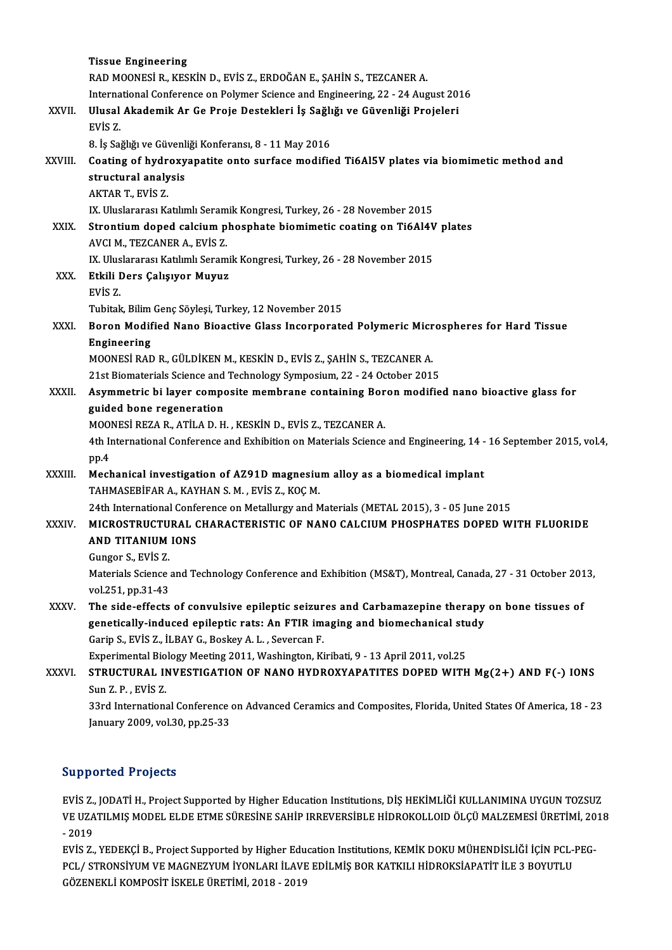|         | <b>Tissue Engineering</b>                                                                                                                        |
|---------|--------------------------------------------------------------------------------------------------------------------------------------------------|
|         | RAD MOONESİ R., KESKİN D., EVİS Z., ERDOĞAN E., ŞAHİN S., TEZCANER A.                                                                            |
|         | International Conference on Polymer Science and Engineering, 22 - 24 August 2016                                                                 |
| XXVII.  | Ulusal Akademik Ar Ge Proje Destekleri İş Sağlığı ve Güvenliği Projeleri                                                                         |
|         | EVIS Z.                                                                                                                                          |
|         | 8. İş Sağlığı ve Güvenliği Konferansı, 8 - 11 May 2016                                                                                           |
| XXVIII. | Coating of hydroxyapatite onto surface modified Ti6Al5V plates via biomimetic method and                                                         |
|         | structural analysis                                                                                                                              |
|         | AKTAR T., EVIS Z.                                                                                                                                |
|         | IX. Uluslararası Katılımlı Seramik Kongresi, Turkey, 26 - 28 November 2015                                                                       |
| XXIX.   | Strontium doped calcium phosphate biomimetic coating on Ti6Al4V plates                                                                           |
|         | AVCI M., TEZCANER A., EVIS Z.                                                                                                                    |
|         | IX. Uluslararası Katılımlı Seramik Kongresi, Turkey, 26 - 28 November 2015                                                                       |
| XXX.    | Etkili Ders Çalışıyor Muyuz<br>EVIS <sub>Z</sub>                                                                                                 |
|         |                                                                                                                                                  |
| XXXI.   | Tubitak, Bilim Genç Söyleşi, Turkey, 12 November 2015<br>Boron Modified Nano Bioactive Glass Incorporated Polymeric Microspheres for Hard Tissue |
|         | <b>Engineering</b>                                                                                                                               |
|         | MOONESİ RAD R., GÜLDİKEN M., KESKİN D., EVİS Z., ŞAHİN S., TEZCANER A.                                                                           |
|         | 21st Biomaterials Science and Technology Symposium, 22 - 24 October 2015                                                                         |
| XXXII.  | Asymmetric bi layer composite membrane containing Boron modified nano bioactive glass for                                                        |
|         | guided bone regeneration                                                                                                                         |
|         | MOONESI REZA R., ATILA D. H., KESKIN D., EVIS Z., TEZCANER A.                                                                                    |
|         | 4th International Conference and Exhibition on Materials Science and Engineering, 14 - 16 September 2015, vol.4,                                 |
|         | pp.4                                                                                                                                             |
| XXXIII. | Mechanical investigation of AZ91D magnesium alloy as a biomedical implant                                                                        |
|         | TAHMASEBİFAR A., KAYHAN S. M., EVİS Z., KOÇ M.                                                                                                   |
|         | 24th International Conference on Metallurgy and Materials (METAL 2015), 3 - 05 June 2015                                                         |
| XXXIV.  | MICROSTRUCTURAL CHARACTERISTIC OF NANO CALCIUM PHOSPHATES DOPED WITH FLUORIDE                                                                    |
|         | AND TITANIUM IONS                                                                                                                                |
|         | Gungor S, EVIS Z                                                                                                                                 |
|         | Materials Science and Technology Conference and Exhibition (MS&T), Montreal, Canada, 27 - 31 October 2013,                                       |
|         | vol 251, pp 31-43                                                                                                                                |
| XXXV.   | The side-effects of convulsive epileptic seizures and Carbamazepine therapy on bone tissues of                                                   |
|         | genetically-induced epileptic rats: An FTIR imaging and biomechanical study                                                                      |
|         | Garip S., EVIS Z., İLBAY G., Boskey A. L., Severcan F.                                                                                           |
|         | Experimental Biology Meeting 2011, Washington, Kiribati, 9 - 13 April 2011, vol.25                                                               |
| XXXVI.  | STRUCTURAL INVESTIGATION OF NANO HYDROXYAPATITES DOPED WITH Mg(2+) AND F(-) IONS                                                                 |
|         | Sun Z P, EVIS Z                                                                                                                                  |
|         | 33rd International Conference on Advanced Ceramics and Composites, Florida, United States Of America, 18 - 23<br>January 2009, vol 30, pp 25-33  |
|         |                                                                                                                                                  |

### Supported Projects

EVİS Z., JODATİ H., Project Supported by Higher Education Institutions, DİŞ HEKİMLİĞİ KULLANIMINA UYGUN TOZSUZ Bupportedi i rojects<br>EVİS Z., JODATİ H., Project Supported by Higher Education Institutions, DİŞ HEKİMLİĞİ KULLANIMINA UYGUN TOZSUZ<br>2019 EVIS Z.,<br>VE UZA<br>- 2019<br>EVIS Z VE UZATILMIŞ MODEL ELDE ETME SÜRESİNE SAHİP IRREVERSİBLE HİDROKOLLOID ÖLÇÜ MALZEMESİ ÜRETİMİ, 20<br>- 2019<br>EVİS Z., YEDEKÇİ B., Project Supported by Higher Education Institutions, KEMİK DOKU MÜHENDİSLİĞİ İÇİN PCL-PEG-<br>PCL / S

- 2019<br>EVİS Z., YEDEKÇİ B., Project Supported by Higher Education Institutions, KEMİK DOKU MÜHENDİSLİĞİ İÇİN PCL-I<br>PCL/ STRONSİYUM VE MAGNEZYUM İYONLARI İLAVE EDİLMİŞ BOR KATKILI HİDROKSİAPATİT İLE 3 BOYUTLU<br>GÖZENEKLİ KOMP EVİS Z., YEDEKÇİ B., Project Supported by Higher Edu<br>PCL/ STRONSİYUM VE MAGNEZYUM İYONLARI İLAVE<br>GÖZENEKLİ KOMPOSİT İSKELE ÜRETİMİ, 2018 - 2019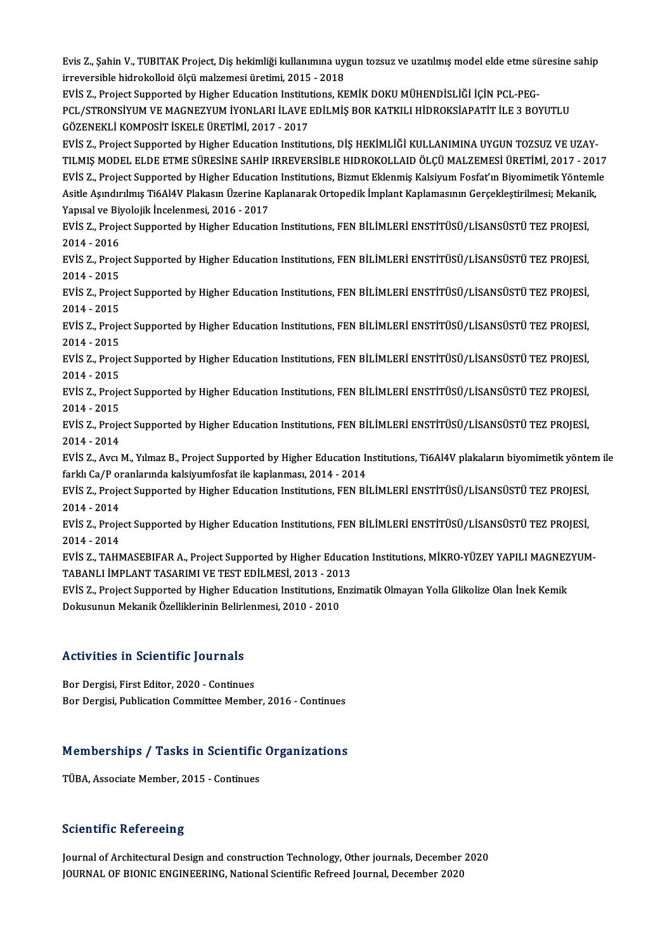Evis Z., Şahin V., TUBITAK Project, Diş hekimliği kullanımına uygun tozsuz ve uzatılmış model elde etme süresine sahip irreversible hidrokoloid ölçümalzemesiüretimi,2015 -2018 Evis Z., Şahin V., TUBITAK Project, Diş hekimliği kullanımına uygun tozsuz ve uzatılmış model elde etme si<br>irreversible hidrokolloid ölçü malzemesi üretimi, 2015 - 2018<br>EVİS Z., Project Supported by Higher Education Instit

irreversible hidrokolloid ölçü malzemesi üretimi, 2015 - 2018<br>EVİS Z., Project Supported by Higher Education Institutions, KEMİK DOKU MÜHENDİSLİĞİ İÇİN PCL-PEG-<br>PCL/STRONSİYUM VE MAGNEZYUM İYONLARI İLAVE EDİLMİŞ BOR KATKIL EVİS Z., Project Supported by Higher Education Institut<br>PCL/STRONSİYUM VE MAGNEZYUM İYONLARI İLAVE I<br>GÖZENEKLİ KOMPOSİT İSKELE ÜRETİMİ, 2017 - 2017<br>EVİS Z. Project Supported bu Higher Education Institut PCL/STRONSİYUM VE MAGNEZYUM İYONLARI İLAVE EDİLMİŞ BOR KATKILI HİDROKSİAPATİT İLE 3 BOYUTLU<br>GÖZENEKLİ KOMPOSİT İSKELE ÜRETİMİ, 2017 - 2017<br>EVİS Z., Project Supported by Higher Education Institutions, DİŞ HEKİMLİĞİ KULLANIM

GÖZENEKLİ KOMPOSİT İSKELE ÜRETİMİ, 2017 - 2017<br>EVİS Z., Project Supported by Higher Education Institutions, DİŞ HEKİMLİĞİ KULLANIMINA UYGUN TOZSUZ VE UZAY-<br>TILMIŞ MODEL ELDE ETME SÜRESİNE SAHİP IRREVERSİBLE HIDROKOLLAID ÖL EVİS Z., Project Supported by Higher Education Institutions, DİŞ HEKİMLİĞİ KULLANIMINA UYGUN TOZSUZ VE UZAY-<br>TILMIŞ MODEL ELDE ETME SÜRESİNE SAHİP IRREVERSİBLE HIDROKOLLAID ÖLÇÜ MALZEMESİ ÜRETİMİ, 2017 - 2017<br>EVİS Z., Proj TILMIŞ MODEL ELDE ETME SÜRESİNE SAHİP IRREVERSİBLE HIDROKOLLAID ÖLÇÜ MALZEMESİ ÜRETİMİ, 2017 - 2017<br>EVİS Z., Project Supported by Higher Education Institutions, Bizmut Eklenmiş Kalsiyum Fosfat'ın Biyomimetik Yöntemle EVİS Z., Project Supported by Higher Educatio<br>Asitle Aşındırılmış Ti6Al4V Plakasın Üzerine K.<br>Yapısal ve Biyolojik İncelenmesi, 2016 - 2017<br>EVİS Z. Project Supported by Higher Educatio Asitle Aşındırılmış Ti6Al4V Plakasın Üzerine Kaplanarak Ortopedik İmplant Kaplamasının Gerçekleştirilmesi; Mekanil<br>Yapısal ve Biyolojik İncelenmesi, 2016 - 2017<br>EVİS Z., Project Supported by Higher Education Institutions,

Yapısal ve Biyolojik İncelenmesi, 2016 - 2017<br>EVİS Z., Project Supported by Higher Education Institutions, FEN BİLİMLERİ ENSTİTÜSÜ/LİSANSÜSTÜ TEZ PROJESİ,<br>2014 - 2016<br>EVİS Z., Project Supported by Higher Education Institut EVİS Z., Project Supported by Higher Education Institutions, FEN BİLİMLERİ ENSTİTÜSÜ/LİSANSÜSTÜ TEZ PROJESİ,

2014 -2015 EVİS Z., Project Supported by Higher Education Institutions, FEN BİLİMLERİ ENSTİTÜSÜ/LİSANSÜSTÜ TEZ PROJESİ,<br>2014 - 2015<br>EVİS Z., Project Supported by Higher Education Institutions, FEN BİLİMLERİ ENSTİTÜSÜ/LİSANSÜSTÜ TEZ P

2014 - 2015<br>EVIS Z., Proje<br>2014 - 2015<br>EVIS Z. Proje EVİS Z., Project Supported by Higher Education Institutions, FEN BİLİMLERİ ENSTİTÜSÜ/LİSANSÜSTÜ TEZ PROJESİ,<br>2014 - 2015<br>EVİS Z., Project Supported by Higher Education Institutions, FEN BİLİMLERİ ENSTİTÜSÜ/LİSANSÜSTÜ TEZ P

2014 - 2015<br>EVIS Z., Proje<br>2014 - 2015<br>EVIS Z. Proje EVİS Z., Project Supported by Higher Education Institutions, FEN BİLİMLERİ ENSTİTÜSÜ/LİSANSÜSTÜ TEZ PROJESİ,<br>2014 - 2015<br>EVİS Z., Project Supported by Higher Education Institutions, FEN BİLİMLERİ ENSTİTÜSÜ/LİSANSÜSTÜ TEZ P

2014 - 2015<br>EVIS Z., Proje<br>2014 - 2015<br>EVIS Z. Proje EVİS Z., Project Supported by Higher Education Institutions, FEN BİLİMLERİ ENSTİTÜSÜ/LİSANSÜSTÜ TEZ PROJESİ,<br>2014 - 2015<br>EVİS Z., Project Supported by Higher Education Institutions, FEN BİLİMLERİ ENSTİTÜSÜ/LİSANSÜSTÜ TEZ P

2014 - 2015<br>EVİS Z., Project Supported by Higher Education Institutions, FEN BİLİMLERİ ENSTİTÜSÜ/LİSANSÜSTÜ TEZ PROJESİ,<br>2014 - 2015 EVİS Z., Project Supported by Higher Education Institutions, FEN BİLİMLERİ ENSTİTÜSÜ/LİSANSÜSTÜ TEZ PROJESİ,<br>2014 - 2015<br>EVİS Z., Project Supported by Higher Education Institutions, FEN BİLİMLERİ ENSTİTÜSÜ/LİSANSÜSTÜ TEZ P

2014 - 2015<br>EVIS Z., Proje<br>2014 - 2014<br>EVIS Z. Avell EVİS Z., Project Supported by Higher Education Institutions, FEN BİLİMLERİ ENSTİTÜSÜ/LİSANSÜSTÜ TEZ PROJESİ,<br>2014 - 2014<br>EVİS Z., Avcı M., Yılmaz B., Project Supported by Higher Education Institutions, Ti6Al4V plakaların b

2014 - 2014<br>EVİS Z., Avcı M., Yılmaz B., Project Supported by Higher Education Iı<br>farklı Ca/P oranlarında kalsiyumfosfat ile kaplanması, 2014 - 2014<br>EVİS Z. Project Supported by Higher Education Institutions, EEN Pİ EVİS Z., Avcı M., Yılmaz B., Project Supported by Higher Education Institutions, Ti6Al4V plakaların biyomimetik yönte<br>farklı Ca/P oranlarında kalsiyumfosfat ile kaplanması, 2014 - 2014<br>EVİS Z., Project Supported by Higher

farklı Ca/P oranlarında kalsiyumfosfat ile kaplanması, 2014 - 2014<br>EVİS Z., Project Supported by Higher Education Institutions, FEN BİLİMLERİ ENSTİTÜSÜ/LİSANSÜSTÜ TEZ PROJESİ,<br>2014 - 2014 EVİS Z., Project Supported by Higher Education Institutions, FEN BİLİMLERİ ENSTİTÜSÜ/LİSANSÜSTÜ TEZ PROJESİ,<br>2014 - 2014<br>EVİS Z., Project Supported by Higher Education Institutions, FEN BİLİMLERİ ENSTİTÜSÜ/LİSANSÜSTÜ TEZ P

2014 - 2014<br>EVIS Z., Proje<br>2014 - 2014<br>EVIS Z. TAHA EVİS Z., Project Supported by Higher Education Institutions, FEN BİLİMLERİ ENSTİTÜSÜ/LİSANSÜSTÜ TEZ PROJESİ,<br>2014 - 2014<br>EVİS Z., TAHMASEBIFAR A., Project Supported by Higher Education Institutions, MİKRO-YÜZEY YAPILI MAGN

2014 - 2014<br>EVİS Z., TAHMASEBIFAR A., Project Supported by Higher Educat<br>TABANLI İMPLANT TASARIMI VE TEST EDİLMESİ, 2013 - 2013<br>EVİS Z. Project Supported bu Higher Education Institutions, Eng EVİS Z., TAHMASEBIFAR A., Project Supported by Higher Education Institutions, MİKRO-YÜZEY YAPILI MAGNEZYUM-TABANLI İMPLANT TASARIMI VE TEST EDİLMESİ, 2013 - 2013<br>EVİS Z., Project Supported by Higher Education Institutions,

TABANLI İMPLANT TASARIMI VE TEST EDİLMESİ, 2013 - 201<br>EVİS Z., Project Supported by Higher Education Institutions, E<br>Dokusunun Mekanik Özelliklerinin Belirlenmesi, 2010 - 2010

#### Activities in Scientific Journals

Bor Dergisi, First Editor, 2020 - Continues Bor Dergisi, Publication Committee Member, 2016 - Continues

# Bor Dergisi, Publication Committee Member, 2016 - Continues<br>Memberships / Tasks in Scientific Organizations Memberships / Tasks in Scientific<br>TÜBA, Associate Member, 2015 - Continues

TÜBA, Associate Member, 2015 - Continues<br>Scientific Refereeing

Scientific Refereeing<br>Journal of Architectural Design and construction Technology, Other journals, December 2020<br>JOURNAL OF RIONIC ENCINEERING National Scientific Befreed Journal, December 2020 Dovontince Revere Bonig<br>Journal of Architectural Design and construction Technology, Other journals, December<br>JOURNAL OF BIONIC ENGINEERING, National Scientific Refreed Journal, December 2020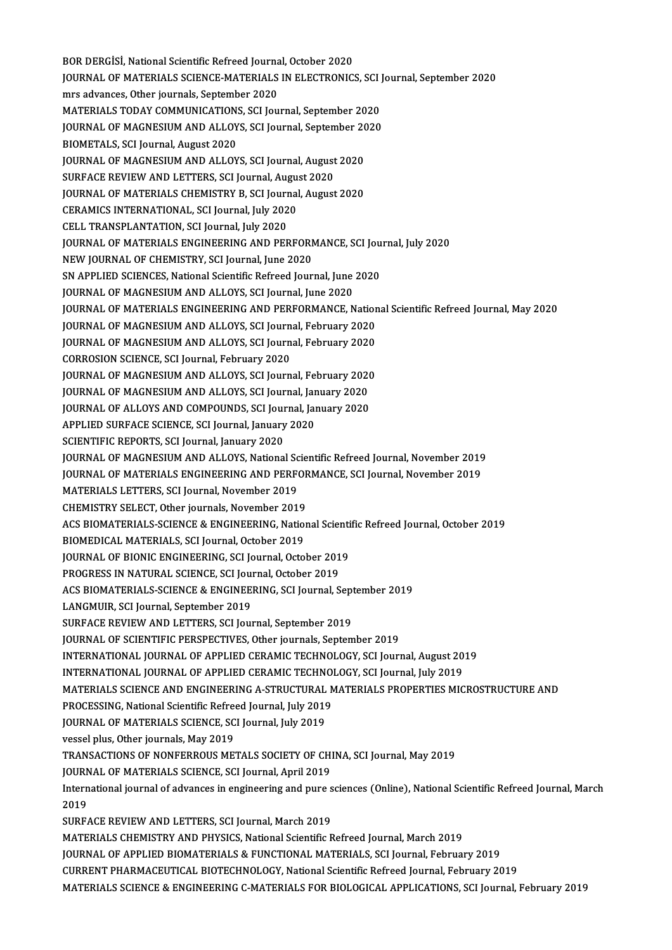BOR DERGİSİ, National Scientific Refreed Journal, October 2020 BOR DERGİSİ, National Scientific Refreed Journal, October 2020<br>JOURNAL OF MATERIALS SCIENCE-MATERIALS IN ELECTRONICS, SCI Journal, September 2020<br>mus advanges, Other journals, Sontember 2020 BOR DERGISI, National Scientific Refreed Journal<br>JOURNAL OF MATERIALS SCIENCE-MATERIALS<br>mrs advances, Other journals, September 2020<br>MATERIALS TODAY COMMUNICATIONS, SCLION JOURNAL OF MATERIALS SCIENCE-MATERIALS IN ELECTRONICS, SCI J<br>mrs advances, Other journals, September 2020<br>MATERIALS TODAY COMMUNICATIONS, SCI Journal, September 2020<br>JOURNAL OF MACNESUM AND ALLOYS, SCI Journal Sontember 20 mrs advances, Other journals, September 2020<br>MATERIALS TODAY COMMUNICATIONS, SCI Journal, September 2020<br>JOURNAL OF MAGNESIUM AND ALLOYS, SCI Journal, September 2020<br>PIOMETALS, SCI Journal, August 2020 MATERIALS TODAY COMMUNICATION:<br>JOURNAL OF MAGNESIUM AND ALLOY<br>BIOMETALS, SCI Journal, August 2020<br>JOURNAL OF MAGNESIUM AND ALLOY JOURNAL OF MAGNESIUM AND ALLOYS, SCI Journal, September 20<br>BIOMETALS, SCI Journal, August 2020<br>JOURNAL OF MAGNESIUM AND ALLOYS, SCI Journal, August 2020<br>SUBEACE BEVIEW AND LETTEBS, SCI Journal, August 2020 BIOMETALS, SCI Journal, August 2020<br>JOURNAL OF MAGNESIUM AND ALLOYS, SCI Journal, August<br>SURFACE REVIEW AND LETTERS, SCI Journal, August 2020<br>JOURNAL OF MATERIALS CHEMISTRY R. SCI Journal, August JOURNAL OF MAGNESIUM AND ALLOYS, SCI Journal, August 2020<br>SURFACE REVIEW AND LETTERS, SCI Journal, August 2020<br>JOURNAL OF MATERIALS CHEMISTRY B, SCI Journal, August 2020<br>CERAMICS INTERNATIONAL, SCI Journal July 2020 SURFACE REVIEW AND LETTERS, SCI Journal, Augu<br>JOURNAL OF MATERIALS CHEMISTRY B, SCI Journal<br>CERAMICS INTERNATIONAL, SCI Journal, July 2020<br>CELL TRANSPLANTATION, SCI Journal, July 2020 **JOURNAL OF MATERIALS CHEMISTRY B, SCI Journal CERAMICS INTERNATIONAL, SCI Journal, July 2020**<br>CELL TRANSPLANTATION, SCI Journal, July 2020<br>JOURNAL OF MATERIALS ENCINEERING AND REE CERAMICS INTERNATIONAL, SCI Journal, July 2020<br>CELL TRANSPLANTATION, SCI Journal, July 2020<br>JOURNAL OF MATERIALS ENGINEERING AND PERFORMANCE, SCI Journal, July 2020<br>NEW JOURNAL OF CHEMISTRY SCI Journal June 2020 CELL TRANSPLANTATION, SCI Journal, July 2020<br>JOURNAL OF MATERIALS ENGINEERING AND PERFORM<br>NEW JOURNAL OF CHEMISTRY, SCI Journal, June 2020<br>SN APPLIED SCIENCES National Scientific Befroed Jour JOURNAL OF MATERIALS ENGINEERING AND PERFORMANCE, SCI Jou<br>NEW JOURNAL OF CHEMISTRY, SCI Journal, June 2020<br>SN APPLIED SCIENCES, National Scientific Refreed Journal, June 2020<br>JOURNAL OF MACNESUM AND ALLOYS, SCI Journal Jun NEW JOURNAL OF CHEMISTRY, SCI Journal, June 2020<br>SN APPLIED SCIENCES, National Scientific Refreed Journal, June<br>JOURNAL OF MATERIALS ENCINEERING AND REREORMANCE N<br>JOURNAL OF MATERIALS ENCINEERING AND REREORMANCE N SN APPLIED SCIENCES, National Scientific Refreed Journal, June 2020<br>JOURNAL OF MAGNESIUM AND ALLOYS, SCI Journal, June 2020<br>JOURNAL OF MACNESIUM AND ALLOYS, SCI Journal, February 2020<br>JOURNAL OF MACNESIUM AND ALLOYS, SCI J JOURNAL OF MAGNESIUM AND ALLOYS, SCI Journal, June 2020<br>JOURNAL OF MATERIALS ENGINEERING AND PERFORMANCE, Natior<br>JOURNAL OF MAGNESIUM AND ALLOYS, SCI Journal, February 2020<br>JOURNAL OF MAGNESIUM AND ALLOYS, SCI Journal Eebr JOURNAL OF MATERIALS ENGINEERING AND PERFORMANCE, Nation<br>JOURNAL OF MAGNESIUM AND ALLOYS, SCI Journal, February 2020<br>JOURNAL OF MAGNESIUM AND ALLOYS, SCI Journal, February 2020<br>COPPOSION SCIENCE SCI Journal February 2020 JOURNAL OF MAGNESIUM AND ALLOYS, SCI Journal, February 2020<br>JOURNAL OF MAGNESIUM AND ALLOYS, SCI Journal, February 2020<br>CORROSION SCIENCE, SCI Journal, February 2020 JOURNAL OF MAGNESIUM AND ALLOYS, SCI Journal, February 2020<br>CORROSION SCIENCE, SCI Journal, February 2020<br>JOURNAL OF MAGNESIUM AND ALLOYS, SCI Journal, February 2020<br>JOURNAL OF MAGNESIUM AND ALLOYS, SCI Journal January 202 CORROSION SCIENCE, SCI Journal, February 2020<br>JOURNAL OF MAGNESIUM AND ALLOYS, SCI Journal, February 2020<br>JOURNAL OF ALLOYS AND COMPOUNDS, SCI Journal, January 2020<br>JOURNAL OF ALLOYS AND COMPOUNDS, SCI Journal, January 202 JOURNAL OF MAGNESIUM AND ALLOYS, SCI Journal, February 2020<br>JOURNAL OF MAGNESIUM AND ALLOYS, SCI Journal, January 2020<br>JOURNAL OF ALLOYS AND COMPOUNDS, SCI Journal, January 2020<br>APPLIED SUPEACE SCIENCE, SCI Journal January JOURNAL OF MAGNESIUM AND ALLOYS, SCI Journal, Jar<br>JOURNAL OF ALLOYS AND COMPOUNDS, SCI Journal, Jar<br>APPLIED SURFACE SCIENCE, SCI Journal, January 2020<br>SCIENTIEIC PEROPTS, SCI Journal, January 2020 **JOURNAL OF ALLOYS AND COMPOUNDS, SCI Journal, January<br>APPLIED SURFACE SCIENCE, SCI Journal, January<br>SCIENTIFIC REPORTS, SCI Journal, January 2020**<br>JOURNAL OF MACNESUJM AND ALLOYS National SCIENTIFIC REPORTS, SCI Journal, January 2020<br>JOURNAL OF MAGNESIUM AND ALLOYS, National Scientific Refreed Journal, November 2019 SCIENTIFIC REPORTS, SCI Journal, January 2020<br>JOURNAL OF MAGNESIUM AND ALLOYS, National Scientific Refreed Journal, November 2019<br>JOURNAL OF MATERIALS ENGINEERING AND PERFORMANCE, SCI Journal, November 2019<br>MATERIALS LETTE JOURNAL OF MAGNESIUM AND ALLOYS, National Sc<br>JOURNAL OF MATERIALS ENGINEERING AND PERF<br>MATERIALS LETTERS, SCI Journal, November 2019<br>CHEMISTRY SELECT, Other journals, November 2019 JOURNAL OF MATERIALS ENGINEERING AND PERFOF<br>MATERIALS LETTERS, SCI Journal, November 2019<br>CHEMISTRY SELECT, Other journals, November 2019<br>ACS PIOMATERIALS SCIENCE & ENCINEERING, Nation MATERIALS LETTERS, SCI Journal, November 2019<br>CHEMISTRY SELECT, Other journals, November 2019<br>ACS BIOMATERIALS-SCIENCE & ENGINEERING, National Scientific Refreed Journal, October 2019<br>RIOMEDICAL MATERIALS, SCI Journal, Oct CHEMISTRY SELECT, Other journals, November 2019<br>ACS BIOMATERIALS-SCIENCE & ENGINEERING, Nation<br>BIOMEDICAL MATERIALS, SCI Journal, October 2019<br>JOURNAL OF BIONIC ENCINEERING, SCI Journal, Octo ACS BIOMATERIALS-SCIENCE & ENGINEERING, National Scienti<br>BIOMEDICAL MATERIALS, SCI Journal, October 2019<br>JOURNAL OF BIONIC ENGINEERING, SCI Journal, October 2019<br>PROCRESS IN NATURAL SCIENCE, SCI Journal, October 2019 BIOMEDICAL MATERIALS, SCI Journal, October 2019<br>JOURNAL OF BIONIC ENGINEERING, SCI Journal, October 201<br>PROGRESS IN NATURAL SCIENCE, SCI Journal, October 2019<br>ACS PIOMATERIALS SCIENCE & ENGINEERING, SCI Journal S JOURNAL OF BIONIC ENGINEERING, SCI Journal, October 2019<br>PROGRESS IN NATURAL SCIENCE, SCI Journal, October 2019<br>ACS BIOMATERIALS-SCIENCE & ENGINEERING, SCI Journal, September 2019<br>LANGMUIR, SCI Journal, September 2019 PROGRESS IN NATURAL SCIENCE, SCI Journal<br>ACS BIOMATERIALS-SCIENCE & ENGINEE<br>LANGMUIR, SCI Journal, September 2019<br>SUREACE REVIEW AND LETTERS, SCI Jour SURFACE REVIEW AND LETTERS, SCI Journal, September 2019 JOURNAL OF SCIENTIFIC PERSPECTIVES, Other journals, September 2019 INTERNATIONAL JOURNAL OF APPLIED CERAMIC TECHNOLOGY, SCI Journal, August 2019 JOURNAL OF SCIENTIFIC PERSPECTIVES, Other journals, September 2019<br>INTERNATIONAL JOURNAL OF APPLIED CERAMIC TECHNOLOGY, SCI Journal, August 20<br>INTERNATIONAL JOURNAL OF APPLIED CERAMIC TECHNOLOGY, SCI Journal, July 2019<br>MAT MATERIALS SCIENCE AND ENGINEERING A-STRUCTURAL MATERIALS PROPERTIES MICROSTRUCTURE AND<br>PROCESSING, National Scientific Refreed Journal, July 2019 INTERNATIONAL JOURNAL OF APPLIED CERAMIC TECHNO<br>MATERIALS SCIENCE AND ENGINEERING A-STRUCTURAL N<br>PROCESSING, National Scientific Refreed Journal, July 2019<br>JOURNAL OF MATERIALS SCIENCE SCI Journal, July 2019 MATERIALS SCIENCE AND ENGINEERING A-STRUCTURAL<br>PROCESSING, National Scientific Refreed Journal, July 2019<br>JOURNAL OF MATERIALS SCIENCE, SCI Journal, July 2019<br>wessel plus Other journals May 2019 PROCESSING, National Scientific Refre<br>JOURNAL OF MATERIALS SCIENCE, SC<br>vessel plus, Other journals, May 2019<br>TRANSACTIONS OF NONEERROUS ME vessel plus, Other journals, May 2019<br>TRANSACTIONS OF NONFERROUS METALS SOCIETY OF CHINA, SCI Journal, May 2019 vessel plus, Other journals, May 2019<br>TRANSACTIONS OF NONFERROUS METALS SOCIETY OF CHI<br>JOURNAL OF MATERIALS SCIENCE, SCI Journal, April 2019<br>International journal of advances in angineering and nure s TRANSACTIONS OF NONFERROUS METALS SOCIETY OF CHINA, SCI Journal, May 2019<br>JOURNAL OF MATERIALS SCIENCE, SCI Journal, April 2019<br>International journal of advances in engineering and pure sciences (Online), National Scientif **JOURN**<br>Intern<br>2019<br>SUDE International journal of advances in engineering and pure s<br>2019<br>SURFACE REVIEW AND LETTERS, SCI Journal, March 2019<br>MATERIALS CUEMISTRY AND DUVSICS National Scientific B 2019<br>SURFACE REVIEW AND LETTERS, SCI Journal, March 2019<br>MATERIALS CHEMISTRY AND PHYSICS, National Scientific Refreed Journal, March 2019 JOURNAL OF APPLIED BIOMATERIALS & FUNCTIONAL MATERIALS, SCI Journal, February 2019 CURRENTPHARMACEUTICALBIOTECHNOLOGY,NationalScientificRefreed Journal,February2019 MATERIALS SCIENCE&ENGINEERINGC-MATERIALS FORBIOLOGICALAPPLICATIONS,SCI Journal,February2019